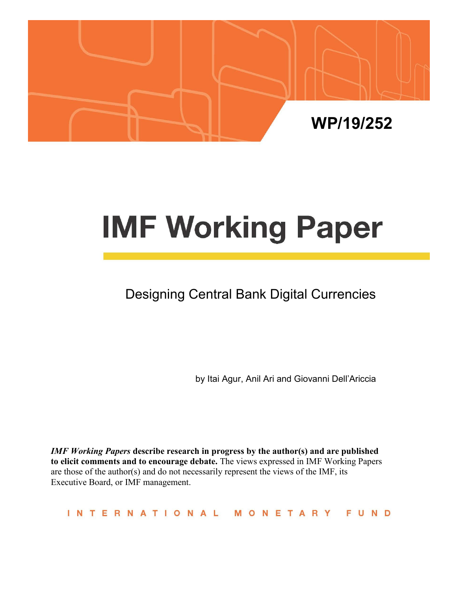

# **IMF Working Paper**

# Designing Central Bank Digital Currencies

by Itai Agur, Anil Ari and Giovanni Dell'Ariccia

*IMF Working Papers* **describe research in progress by the author(s) and are published to elicit comments and to encourage debate.** The views expressed in IMF Working Papers are those of the author(s) and do not necessarily represent the views of the IMF, its Executive Board, or IMF management.

INTERNATIONAL MONETARY **FUND**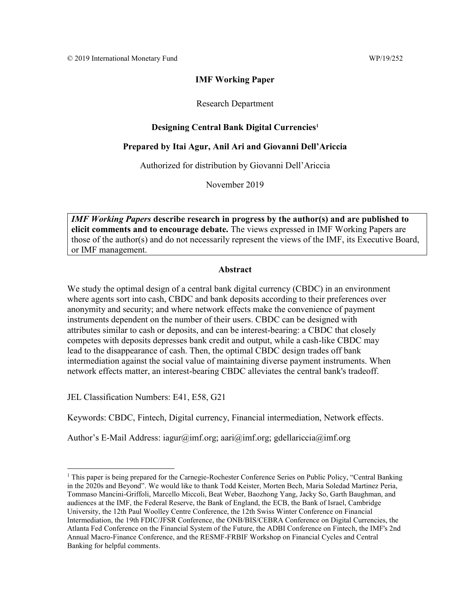## **IMF Working Paper**

## Research Department

# **Designing Central Bank Digital Currencies<sup>1</sup>**

# **Prepared by Itai Agur, Anil Ari and Giovanni Dell'Ariccia**

Authorized for distribution by Giovanni Dell'Ariccia

November 2019

*IMF Working Papers* **describe research in progress by the author(s) and are published to elicit comments and to encourage debate.** The views expressed in IMF Working Papers are those of the author(s) and do not necessarily represent the views of the IMF, its Executive Board, or IMF management.

## **Abstract**

We study the optimal design of a central bank digital currency (CBDC) in an environment where agents sort into cash, CBDC and bank deposits according to their preferences over anonymity and security; and where network effects make the convenience of payment instruments dependent on the number of their users. CBDC can be designed with attributes similar to cash or deposits, and can be interest-bearing: a CBDC that closely competes with deposits depresses bank credit and output, while a cash-like CBDC may lead to the disappearance of cash. Then, the optimal CBDC design trades off bank intermediation against the social value of maintaining diverse payment instruments. When network effects matter, an interest-bearing CBDC alleviates the central bank's tradeoff.

JEL Classification Numbers: E41, E58, G21

Keywords: CBDC, Fintech, Digital currency, Financial intermediation, Network effects.

Author's E-Mail Address: iagur@imf.org; aari@imf.org; gdellariccia@imf.org

 $1$  This paper is being prepared for the Carnegie-Rochester Conference Series on Public Policy, "Central Banking" in the 2020s and Beyond". We would like to thank Todd Keister, Morten Bech, Maria Soledad Martinez Peria, Tommaso Mancini-Griffoli, Marcello Miccoli, Beat Weber, Baozhong Yang, Jacky So, Garth Baughman, and audiences at the IMF, the Federal Reserve, the Bank of England, the ECB, the Bank of Israel, Cambridge University, the 12th Paul Woolley Centre Conference, the 12th Swiss Winter Conference on Financial Intermediation, the 19th FDIC/JFSR Conference, the ONB/BIS/CEBRA Conference on Digital Currencies, the Atlanta Fed Conference on the Financial System of the Future, the ADBI Conference on Fintech, the IMF's 2nd Annual Macro-Finance Conference, and the RESMF-FRBIF Workshop on Financial Cycles and Central Banking for helpful comments.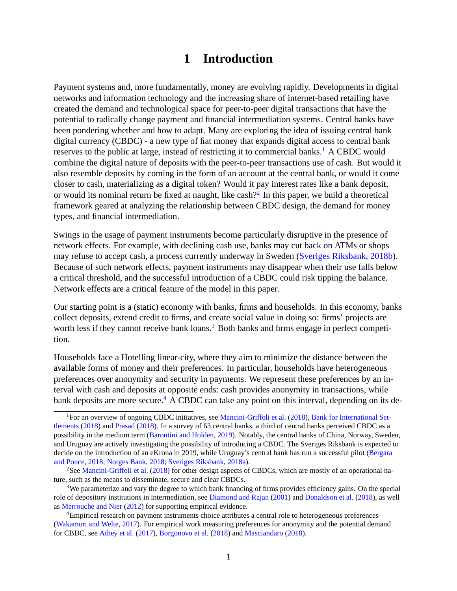# **1 Introduction**

Payment systems and, more fundamentally, money are evolving rapidly. Developments in digital networks and information technology and the increasing share of internet-based retailing have created the demand and technological space for peer-to-peer digital transactions that have the potential to radically change payment and financial intermediation systems. Central banks have been pondering whether and how to adapt. Many are exploring the idea of issuing central bank digital currency (CBDC) - a new type of fiat money that expands digital access to central bank reserves to the public at large, instead of restricting it to commercial banks.<sup>1</sup> A CBDC would combine the digital nature of deposits with the peer-to-peer transactions use of cash. But would it also resemble deposits by coming in the form of an account at the central bank, or would it come closer to cash, materializing as a digital token? Would it pay interest rates like a bank deposit, or would its nominal return be fixed at naught, like cash?<sup>2</sup> In this paper, we build a theoretical framework geared at analyzing the relationship between CBDC design, the demand for money types, and financial intermediation.

Swings in the usage of payment instruments become particularly disruptive in the presence of network effects. For example, with declining cash use, banks may cut back on ATMs or shops may refuse to accept cash, a process currently underway in Sweden (Sveriges Riksbank, 2018b). Because of such network effects, payment instruments may disappear when their use falls below a critical threshold, and the successful introduction of a CBDC could risk tipping the balance. Network effects are a critical feature of the model in this paper.

Our starting point is a (static) economy with banks, firms and households. In this economy, banks collect deposits, extend credit to firms, and create social value in doing so: firms' projects are worth less if they cannot receive bank loans.<sup>3</sup> Both banks and firms engage in perfect competition.

Households face a Hotelling linear-city, where they aim to minimize the distance between the available forms of money and their preferences. In particular, households have heterogeneous preferences over anonymity and security in payments. We represent these preferences by an interval with cash and deposits at opposite ends: cash provides anonymity in transactions, while bank deposits are more secure.<sup>4</sup> A CBDC can take any point on this interval, depending on its de-

<sup>&</sup>lt;sup>1</sup>For an overview of ongoing CBDC initiatives, see Mancini-Griffoli et al. (2018), Bank for International Settlements (2018) and Prasad (2018). In a survey of 63 central banks, a third of central banks perceived CBDC as a possibility in the medium term (Barontini and Holden, 2019). Notably, the central banks of China, Norway, Sweden, and Uruguay are actively investigating the possibility of introducing a CBDC. The Sveriges Riksbank is expected to decide on the introduction of an eKrona in 2019, while Uruguay's central bank has run a successful pilot (Bergara and Ponce, 2018; Norges Bank, 2018; Sveriges Riksbank, 2018a).

<sup>&</sup>lt;sup>2</sup>See Mancini-Griffoli et al. (2018) for other design aspects of CBDCs, which are mostly of an operational nature, such as the means to disseminate, secure and clear CBDCs.

<sup>&</sup>lt;sup>3</sup>We parameterize and vary the degree to which bank financing of firms provides efficiency gains. On the special role of depository institutions in intermediation, see Diamond and Rajan (2001) and Donaldson et al. (2018), as well as Merrouche and Nier (2012) for supporting empirical evidence.

<sup>&</sup>lt;sup>4</sup>Empirical research on payment instruments choice attributes a central role to heterogeneous preferences (Wakamori and Welte, 2017). For empirical work measuring preferences for anonymity and the potential demand for CBDC, see Athey et al. (2017), Borgonovo et al. (2018) and Masciandaro (2018).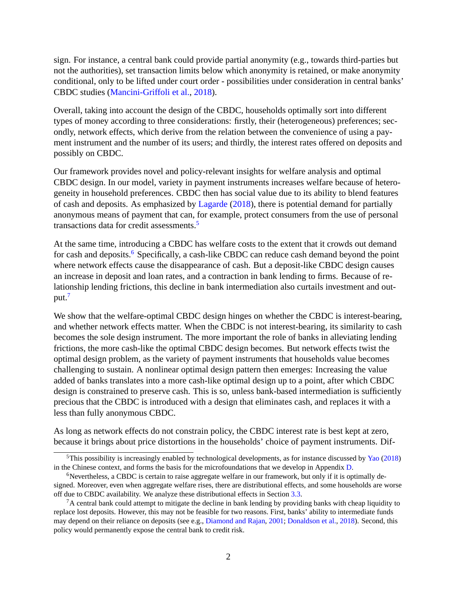sign. For instance, a central bank could provide partial anonymity (e.g., towards third-parties but not the authorities), set transaction limits below which anonymity is retained, or make anonymity conditional, only to be lifted under court order - possibilities under consideration in central banks' CBDC studies (Mancini-Griffoli et al., 2018).

Overall, taking into account the design of the CBDC, households optimally sort into different types of money according to three considerations: firstly, their (heterogeneous) preferences; secondly, network effects, which derive from the relation between the convenience of using a payment instrument and the number of its users; and thirdly, the interest rates offered on deposits and possibly on CBDC.

Our framework provides novel and policy-relevant insights for welfare analysis and optimal CBDC design. In our model, variety in payment instruments increases welfare because of heterogeneity in household preferences. CBDC then has social value due to its ability to blend features of cash and deposits. As emphasized by Lagarde (2018), there is potential demand for partially anonymous means of payment that can, for example, protect consumers from the use of personal transactions data for credit assessments.<sup>5</sup>

At the same time, introducing a CBDC has welfare costs to the extent that it crowds out demand for cash and deposits.<sup>6</sup> Specifically, a cash-like CBDC can reduce cash demand beyond the point where network effects cause the disappearance of cash. But a deposit-like CBDC design causes an increase in deposit and loan rates, and a contraction in bank lending to firms. Because of relationship lending frictions, this decline in bank intermediation also curtails investment and output.7

We show that the welfare-optimal CBDC design hinges on whether the CBDC is interest-bearing, and whether network effects matter. When the CBDC is not interest-bearing, its similarity to cash becomes the sole design instrument. The more important the role of banks in alleviating lending frictions, the more cash-like the optimal CBDC design becomes. But network effects twist the optimal design problem, as the variety of payment instruments that households value becomes challenging to sustain. A nonlinear optimal design pattern then emerges: Increasing the value added of banks translates into a more cash-like optimal design up to a point, after which CBDC design is constrained to preserve cash. This is so, unless bank-based intermediation is sufficiently precious that the CBDC is introduced with a design that eliminates cash, and replaces it with a less than fully anonymous CBDC.

As long as network effects do not constrain policy, the CBDC interest rate is best kept at zero, because it brings about price distortions in the households' choice of payment instruments. Dif-

<sup>5</sup>This possibility is increasingly enabled by technological developments, as for instance discussed by Yao (2018) in the Chinese context, and forms the basis for the microfoundations that we develop in Appendix D.

 $6$ Nevertheless, a CBDC is certain to raise aggregate welfare in our framework, but only if it is optimally designed. Moreover, even when aggregate welfare rises, there are distributional effects, and some households are worse off due to CBDC availability. We analyze these distributional effects in Section 3.3.

 ${}^{7}$ A central bank could attempt to mitigate the decline in bank lending by providing banks with cheap liquidity to replace lost deposits. However, this may not be feasible for two reasons. First, banks' ability to intermediate funds may depend on their reliance on deposits (see e.g., Diamond and Rajan, 2001; Donaldson et al., 2018). Second, this policy would permanently expose the central bank to credit risk.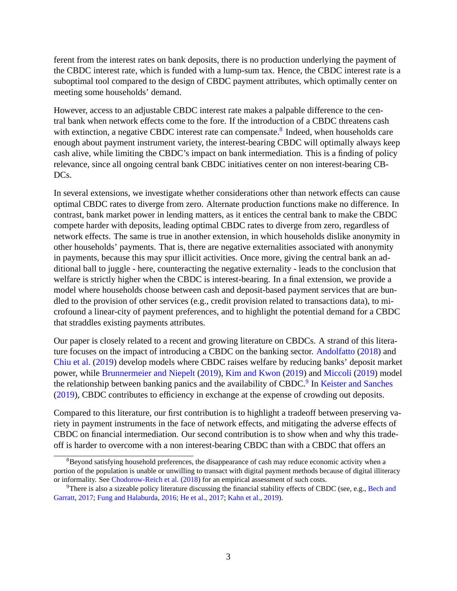ferent from the interest rates on bank deposits, there is no production underlying the payment of the CBDC interest rate, which is funded with a lump-sum tax. Hence, the CBDC interest rate is a suboptimal tool compared to the design of CBDC payment attributes, which optimally center on meeting some households' demand.

However, access to an adjustable CBDC interest rate makes a palpable difference to the central bank when network effects come to the fore. If the introduction of a CBDC threatens cash with extinction, a negative CBDC interest rate can compensate.<sup>8</sup> Indeed, when households care enough about payment instrument variety, the interest-bearing CBDC will optimally always keep cash alive, while limiting the CBDC's impact on bank intermediation. This is a finding of policy relevance, since all ongoing central bank CBDC initiatives center on non interest-bearing CB-DC<sub>s</sub>.

In several extensions, we investigate whether considerations other than network effects can cause optimal CBDC rates to diverge from zero. Alternate production functions make no difference. In contrast, bank market power in lending matters, as it entices the central bank to make the CBDC compete harder with deposits, leading optimal CBDC rates to diverge from zero, regardless of network effects. The same is true in another extension, in which households dislike anonymity in other households' payments. That is, there are negative externalities associated with anonymity in payments, because this may spur illicit activities. Once more, giving the central bank an additional ball to juggle - here, counteracting the negative externality - leads to the conclusion that welfare is strictly higher when the CBDC is interest-bearing. In a final extension, we provide a model where households choose between cash and deposit-based payment services that are bundled to the provision of other services (e.g., credit provision related to transactions data), to microfound a linear-city of payment preferences, and to highlight the potential demand for a CBDC that straddles existing payments attributes.

Our paper is closely related to a recent and growing literature on CBDCs. A strand of this literature focuses on the impact of introducing a CBDC on the banking sector. Andolfatto (2018) and Chiu et al. (2019) develop models where CBDC raises welfare by reducing banks' deposit market power, while Brunnermeier and Niepelt (2019), Kim and Kwon (2019) and Miccoli (2019) model the relationship between banking panics and the availability of CBDC.<sup>9</sup> In Keister and Sanches (2019), CBDC contributes to efficiency in exchange at the expense of crowding out deposits.

Compared to this literature, our first contribution is to highlight a tradeoff between preserving variety in payment instruments in the face of network effects, and mitigating the adverse effects of CBDC on financial intermediation. Our second contribution is to show when and why this tradeoff is harder to overcome with a non interest-bearing CBDC than with a CBDC that offers an

 $8B$ eyond satisfying household preferences, the disappearance of cash may reduce economic activity when a portion of the population is unable or unwilling to transact with digital payment methods because of digital illiteracy or informality. See Chodorow-Reich et al. (2018) for an empirical assessment of such costs.

<sup>&</sup>lt;sup>9</sup>There is also a sizeable policy literature discussing the financial stability effects of CBDC (see, e.g., Bech and Garratt, 2017; Fung and Halaburda, 2016; He et al., 2017; Kahn et al., 2019).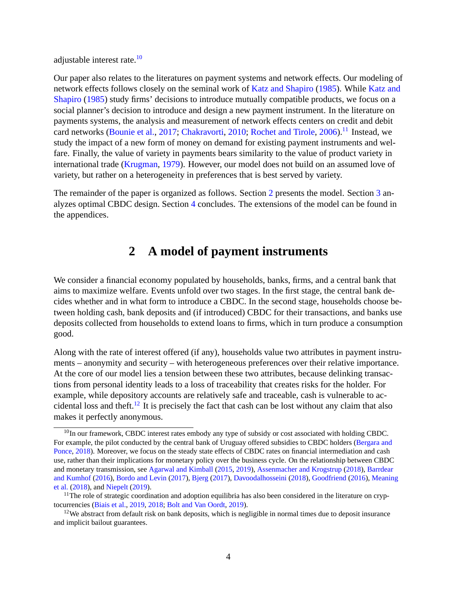adjustable interest rate.<sup>10</sup>

Our paper also relates to the literatures on payment systems and network effects. Our modeling of network effects follows closely on the seminal work of Katz and Shapiro (1985). While Katz and Shapiro (1985) study firms' decisions to introduce mutually compatible products, we focus on a social planner's decision to introduce and design a new payment instrument. In the literature on payments systems, the analysis and measurement of network effects centers on credit and debit card networks (Bounie et al., 2017; Chakravorti, 2010; Rochet and Tirole, 2006).<sup>11</sup> Instead, we study the impact of a new form of money on demand for existing payment instruments and welfare. Finally, the value of variety in payments bears similarity to the value of product variety in international trade (Krugman, 1979). However, our model does not build on an assumed love of variety, but rather on a heterogeneity in preferences that is best served by variety.

The remainder of the paper is organized as follows. Section 2 presents the model. Section 3 analyzes optimal CBDC design. Section 4 concludes. The extensions of the model can be found in the appendices.

# **2 A model of payment instruments**

We consider a financial economy populated by households, banks, firms, and a central bank that aims to maximize welfare. Events unfold over two stages. In the first stage, the central bank decides whether and in what form to introduce a CBDC. In the second stage, households choose between holding cash, bank deposits and (if introduced) CBDC for their transactions, and banks use deposits collected from households to extend loans to firms, which in turn produce a consumption good.

Along with the rate of interest offered (if any), households value two attributes in payment instruments – anonymity and security – with heterogeneous preferences over their relative importance. At the core of our model lies a tension between these two attributes, because delinking transactions from personal identity leads to a loss of traceability that creates risks for the holder. For example, while depository accounts are relatively safe and traceable, cash is vulnerable to accidental loss and theft.<sup>12</sup> It is precisely the fact that cash can be lost without any claim that also makes it perfectly anonymous.

 $10$ In our framework, CBDC interest rates embody any type of subsidy or cost associated with holding CBDC. For example, the pilot conducted by the central bank of Uruguay offered subsidies to CBDC holders (Bergara and Ponce, 2018). Moreover, we focus on the steady state effects of CBDC rates on financial intermediation and cash use, rather than their implications for monetary policy over the business cycle. On the relationship between CBDC and monetary transmission, see Agarwal and Kimball (2015, 2019), Assenmacher and Krogstrup (2018), Barrdear and Kumhof (2016), Bordo and Levin (2017), Bjerg (2017), Davoodalhosseini (2018), Goodfriend (2016), Meaning et al. (2018), and Niepelt (2019).

 $11$ The role of strategic coordination and adoption equilibria has also been considered in the literature on cryptocurrencies (Biais et al., 2019, 2018; Bolt and Van Oordt, 2019).

 $12$ We abstract from default risk on bank deposits, which is negligible in normal times due to deposit insurance and implicit bailout guarantees.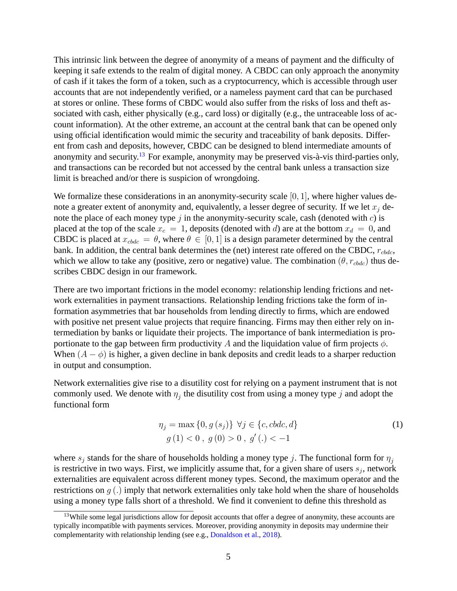This intrinsic link between the degree of anonymity of a means of payment and the difficulty of keeping it safe extends to the realm of digital money. A CBDC can only approach the anonymity of cash if it takes the form of a token, such as a cryptocurrency, which is accessible through user accounts that are not independently verified, or a nameless payment card that can be purchased at stores or online. These forms of CBDC would also suffer from the risks of loss and theft associated with cash, either physically (e.g., card loss) or digitally (e.g., the untraceable loss of account information). At the other extreme, an account at the central bank that can be opened only using official identification would mimic the security and traceability of bank deposits. Different from cash and deposits, however, CBDC can be designed to blend intermediate amounts of anonymity and security.<sup>13</sup> For example, anonymity may be preserved vis- $\hat{a}$ -vis third-parties only, and transactions can be recorded but not accessed by the central bank unless a transaction size limit is breached and/or there is suspicion of wrongdoing.

We formalize these considerations in an anonymity-security scale  $[0, 1]$ , where higher values denote a greater extent of anonymity and, equivalently, a lesser degree of security. If we let  $x_i$  denote the place of each money type  $j$  in the anonymity-security scale, cash (denoted with  $c$ ) is placed at the top of the scale  $x_c = 1$ , deposits (denoted with d) are at the bottom  $x_d = 0$ , and CBDC is placed at  $x_{cbdc} = \theta$ , where  $\theta \in [0, 1]$  is a design parameter determined by the central bank. In addition, the central bank determines the (net) interest rate offered on the CBDC,  $r_{cbdc}$ , which we allow to take any (positive, zero or negative) value. The combination  $(\theta, r_{\text{c}bdc})$  thus describes CBDC design in our framework.

There are two important frictions in the model economy: relationship lending frictions and network externalities in payment transactions. Relationship lending frictions take the form of information asymmetries that bar households from lending directly to firms, which are endowed with positive net present value projects that require financing. Firms may then either rely on intermediation by banks or liquidate their projects. The importance of bank intermediation is proportionate to the gap between firm productivity A and the liquidation value of firm projects  $\phi$ . When  $(A - \phi)$  is higher, a given decline in bank deposits and credit leads to a sharper reduction in output and consumption.

Network externalities give rise to a disutility cost for relying on a payment instrument that is not commonly used. We denote with  $\eta_j$  the disutility cost from using a money type j and adopt the functional form

$$
\eta_j = \max\{0, g(s_j)\} \ \forall j \in \{c, cbdc, d\}
$$
  
 
$$
g(1) < 0 \ , \ g(0) > 0 \ , \ g'(.) < -1 \tag{1}
$$

where  $s_j$  stands for the share of households holding a money type j. The functional form for  $\eta_j$ is restrictive in two ways. First, we implicitly assume that, for a given share of users  $s_j$ , network externalities are equivalent across different money types. Second, the maximum operator and the restrictions on  $g(.)$  imply that network externalities only take hold when the share of households using a money type falls short of a threshold. We find it convenient to define this threshold as

<sup>&</sup>lt;sup>13</sup>While some legal jurisdictions allow for deposit accounts that offer a degree of anonymity, these accounts are typically incompatible with payments services. Moreover, providing anonymity in deposits may undermine their complementarity with relationship lending (see e.g., Donaldson et al., 2018).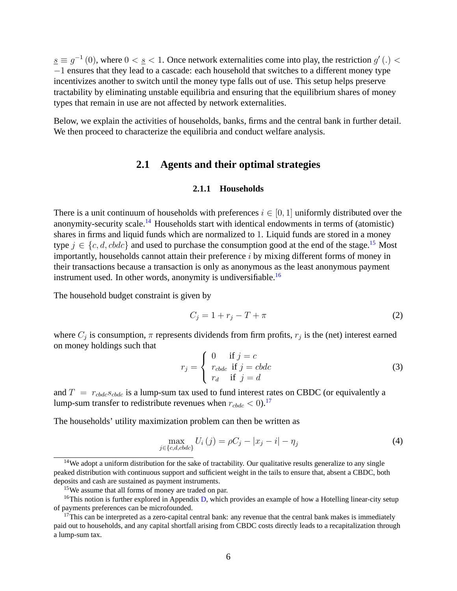$\underline{s} \equiv g^{-1}(0)$ , where  $0 < \underline{s} < 1$ . Once network externalities come into play, the restriction  $g'(.) <$  $-1$  ensures that they lead to a cascade: each household that switches to a different money type incentivizes another to switch until the money type falls out of use. This setup helps preserve tractability by eliminating unstable equilibria and ensuring that the equilibrium shares of money types that remain in use are not affected by network externalities.

Below, we explain the activities of households, banks, firms and the central bank in further detail. We then proceed to characterize the equilibria and conduct welfare analysis.

# **2.1 Agents and their optimal strategies**

## **2.1.1 Households**

There is a unit continuum of households with preferences  $i \in [0, 1]$  uniformly distributed over the anonymity-security scale.<sup>14</sup> Households start with identical endowments in terms of (atomistic) shares in firms and liquid funds which are normalized to 1. Liquid funds are stored in a money type  $j \in \{c, d, cbdc\}$  and used to purchase the consumption good at the end of the stage.<sup>15</sup> Most importantly, households cannot attain their preference  $i$  by mixing different forms of money in their transactions because a transaction is only as anonymous as the least anonymous payment instrument used. In other words, anonymity is undiversifiable.<sup>16</sup>

The household budget constraint is given by

$$
C_j = 1 + r_j - T + \pi \tag{2}
$$

where  $C_j$  is consumption,  $\pi$  represents dividends from firm profits,  $r_j$  is the (net) interest earned on money holdings such that

$$
r_j = \begin{cases} 0 & \text{if } j = c \\ r_{cbdc} & \text{if } j = cbdc \\ r_d & \text{if } j = d \end{cases}
$$
 (3)

and  $T = r_{\text{c}bdc} s_{\text{c}bdc}$  is a lump-sum tax used to fund interest rates on CBDC (or equivalently a lump-sum transfer to redistribute revenues when  $r_{cbdc} < 0$ .<sup>17</sup>

The households' utility maximization problem can then be written as

$$
\max_{j \in \{c, d, cbc\}} U_i(j) = \rho C_j - |x_j - i| - \eta_j \tag{4}
$$

<sup>&</sup>lt;sup>14</sup>We adopt a uniform distribution for the sake of tractability. Our qualitative results generalize to any single peaked distribution with continuous support and sufficient weight in the tails to ensure that, absent a CBDC, both deposits and cash are sustained as payment instruments.

<sup>&</sup>lt;sup>15</sup>We assume that all forms of money are traded on par.

<sup>&</sup>lt;sup>16</sup>This notion is further explored in Appendix D, which provides an example of how a Hotelling linear-city setup of payments preferences can be microfounded.

 $17$ This can be interpreted as a zero-capital central bank: any revenue that the central bank makes is immediately paid out to households, and any capital shortfall arising from CBDC costs directly leads to a recapitalization through a lump-sum tax.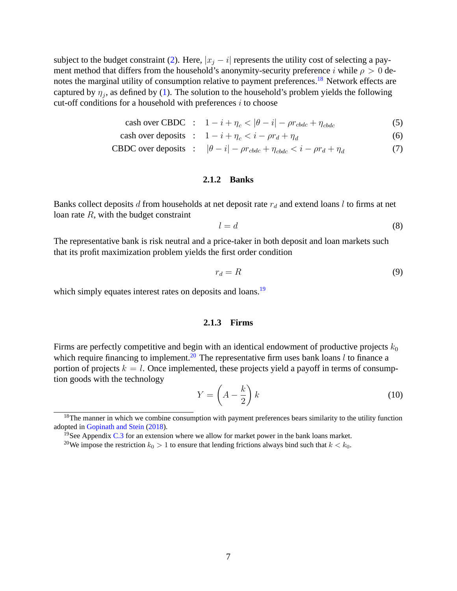subject to the budget constraint (2). Here,  $|x_i - i|$  represents the utility cost of selecting a payment method that differs from the household's anonymity-security preference i while  $\rho > 0$  denotes the marginal utility of consumption relative to payment preferences.<sup>18</sup> Network effects are captured by  $\eta_j$ , as defined by (1). The solution to the household's problem yields the following cut-off conditions for a household with preferences  $i$  to choose

$$
\text{cash over CBDC} \quad : \quad 1 - i + \eta_c < |\theta - i| - \rho r_{\text{cbdc}} + \eta_{\text{cbdc}} \tag{5}
$$

$$
cash over deposits : 1 - i + \eta_c < i - \rho r_d + \eta_d \tag{6}
$$

**CBDC over deposits** : 
$$
|\theta - i| - \rho r_{cbdc} + \eta_{cbdc} < i - \rho r_d + \eta_d
$$
 (7)

#### **2.1.2 Banks**

Banks collect deposits d from households at net deposit rate  $r_d$  and extend loans l to firms at net loan rate  $R$ , with the budget constraint

$$
l = d \tag{8}
$$

The representative bank is risk neutral and a price-taker in both deposit and loan markets such that its profit maximization problem yields the first order condition

$$
r_d = R \tag{9}
$$

which simply equates interest rates on deposits and loans.<sup>19</sup>

#### **2.1.3 Firms**

Firms are perfectly competitive and begin with an identical endowment of productive projects  $k_0$ which require financing to implement.<sup>20</sup> The representative firm uses bank loans l to finance a portion of projects  $k = l$ . Once implemented, these projects yield a payoff in terms of consumption goods with the technology

$$
Y = \left(A - \frac{k}{2}\right)k\tag{10}
$$

<sup>&</sup>lt;sup>18</sup>The manner in which we combine consumption with payment preferences bears similarity to the utility function adopted in Gopinath and Stein (2018).

<sup>&</sup>lt;sup>19</sup>See Appendix C.3 for an extension where we allow for market power in the bank loans market.

<sup>&</sup>lt;sup>20</sup>We impose the restriction  $k_0 > 1$  to ensure that lending frictions always bind such that  $k < k_0$ .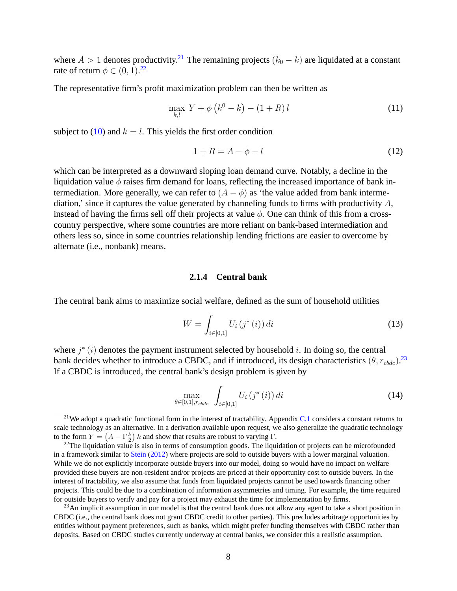where  $A > 1$  denotes productivity.<sup>21</sup> The remaining projects  $(k_0 - k)$  are liquidated at a constant rate of return  $\phi \in (0, 1).^{22}$ 

The representative firm's profit maximization problem can then be written as

$$
\max_{k,l} Y + \phi \left( k^0 - k \right) - (1 + R) l \tag{11}
$$

subject to (10) and  $k = l$ . This yields the first order condition

$$
1 + R = A - \phi - l \tag{12}
$$

which can be interpreted as a downward sloping loan demand curve. Notably, a decline in the liquidation value  $\phi$  raises firm demand for loans, reflecting the increased importance of bank intermediation. More generally, we can refer to  $(A - \phi)$  as 'the value added from bank intermediation,' since it captures the value generated by channeling funds to firms with productivity  $A$ , instead of having the firms sell off their projects at value  $\phi$ . One can think of this from a crosscountry perspective, where some countries are more reliant on bank-based intermediation and others less so, since in some countries relationship lending frictions are easier to overcome by alternate (i.e., nonbank) means.

## **2.1.4 Central bank**

The central bank aims to maximize social welfare, defined as the sum of household utilities

$$
W = \int_{i \in [0,1]} U_i(j^*(i)) \, di \tag{13}
$$

where  $j^*(i)$  denotes the payment instrument selected by household i. In doing so, the central bank decides whether to introduce a CBDC, and if introduced, its design characteristics  $(\theta, r_{cbdc})$ .<sup>23</sup> If a CBDC is introduced, the central bank's design problem is given by

$$
\max_{\theta \in [0,1], r_{cbdc}} \int_{i \in [0,1]} U_i(j^*(i)) \, di \tag{14}
$$

<sup>&</sup>lt;sup>21</sup>We adopt a quadratic functional form in the interest of tractability. Appendix C.1 considers a constant returns to scale technology as an alternative. In a derivation available upon request, we also generalize the quadratic technology to the form  $Y = (A - \Gamma \frac{k}{2}) k$  and show that results are robust to varying  $\Gamma$ .

<sup>&</sup>lt;sup>22</sup>The liquidation value is also in terms of consumption goods. The liquidation of projects can be microfounded in a framework similar to Stein (2012) where projects are sold to outside buyers with a lower marginal valuation. While we do not explicitly incorporate outside buyers into our model, doing so would have no impact on welfare provided these buyers are non-resident and/or projects are priced at their opportunity cost to outside buyers. In the interest of tractability, we also assume that funds from liquidated projects cannot be used towards financing other projects. This could be due to a combination of information asymmetries and timing. For example, the time required for outside buyers to verify and pay for a project may exhaust the time for implementation by firms.

<sup>&</sup>lt;sup>23</sup>An implicit assumption in our model is that the central bank does not allow any agent to take a short position in CBDC (i.e., the central bank does not grant CBDC credit to other parties). This precludes arbitrage opportunities by entities without payment preferences, such as banks, which might prefer funding themselves with CBDC rather than deposits. Based on CBDC studies currently underway at central banks, we consider this a realistic assumption.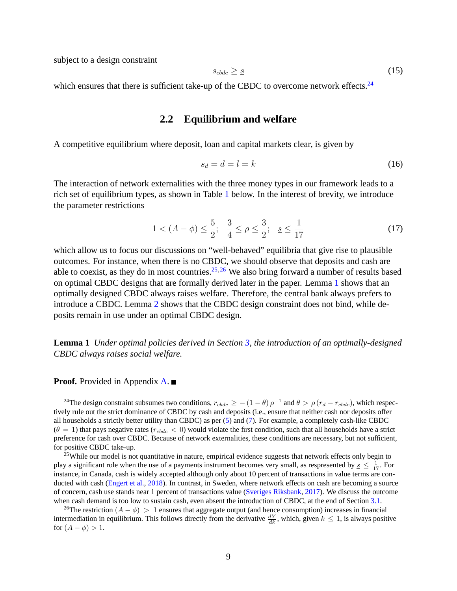subject to a design constraint

$$
s_{cbdc} \geq \underline{s} \tag{15}
$$

which ensures that there is sufficient take-up of the CBDC to overcome network effects.<sup>24</sup>

# **2.2 Equilibrium and welfare**

A competitive equilibrium where deposit, loan and capital markets clear, is given by

$$
s_d = d = l = k \tag{16}
$$

The interaction of network externalities with the three money types in our framework leads to a rich set of equilibrium types, as shown in Table 1 below. In the interest of brevity, we introduce the parameter restrictions

$$
1 < (A - \phi) \le \frac{5}{2}; \quad \frac{3}{4} \le \rho \le \frac{3}{2}; \quad \underline{s} \le \frac{1}{17}
$$
 (17)

which allow us to focus our discussions on "well-behaved" equilibria that give rise to plausible outcomes. For instance, when there is no CBDC, we should observe that deposits and cash are able to coexist, as they do in most countries.<sup>25,26</sup> We also bring forward a number of results based on optimal CBDC designs that are formally derived later in the paper. Lemma 1 shows that an optimally designed CBDC always raises welfare. Therefore, the central bank always prefers to introduce a CBDC. Lemma 2 shows that the CBDC design constraint does not bind, while deposits remain in use under an optimal CBDC design.

**Lemma 1** *Under optimal policies derived in Section 3, the introduction of an optimally-designed CBDC always raises social welfare.*

**Proof.** Provided in Appendix **A**. ■

<sup>&</sup>lt;sup>24</sup>The design constraint subsumes two conditions,  $r_{cbdc} \ge -(1 - \theta) \rho^{-1}$  and  $\theta > \rho (r_d - r_{cbdc})$ , which respectively rule out the strict dominance of CBDC by cash and deposits (i.e., ensure that neither cash nor deposits offer all households a strictly better utility than CBDC) as per (5) and (7). For example, a completely cash-like CBDC  $(\theta = 1)$  that pays negative rates ( $r_{cbdc} < 0$ ) would violate the first condition, such that all households have a strict preference for cash over CBDC. Because of network externalities, these conditions are necessary, but not sufficient, for positive CBDC take-up.

<sup>&</sup>lt;sup>25</sup>While our model is not quantitative in nature, empirical evidence suggests that network effects only begin to play a significant role when the use of a payments instrument becomes very small, as respresented by  $s \leq \frac{1}{17}$ . For instance, in Canada, cash is widely accepted although only about 10 percent of transactions in value terms are conducted with cash (Engert et al., 2018). In contrast, in Sweden, where network effects on cash are becoming a source of concern, cash use stands near 1 percent of transactions value (Sveriges Riksbank, 2017). We discuss the outcome when cash demand is too low to sustain cash, even absent the introduction of CBDC, at the end of Section 3.1.

<sup>&</sup>lt;sup>26</sup>The restriction  $(A - \phi) > 1$  ensures that aggregate output (and hence consumption) increases in financial intermediation in equilibrium. This follows directly from the derivative  $\frac{dY}{dk}$ , which, given  $k \le 1$ , is always positive for  $(A - \phi) > 1$ .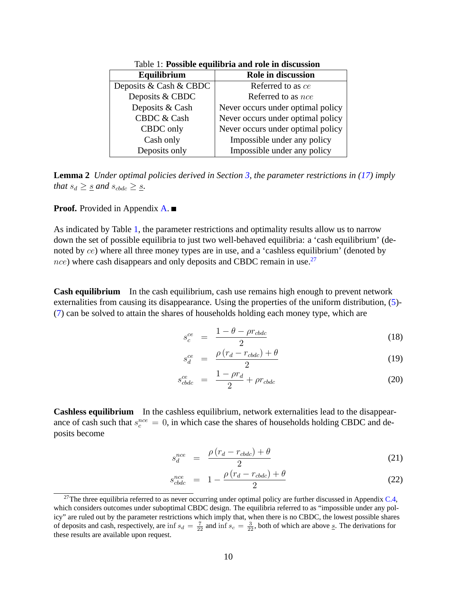| Equilibrium            | Role in discussion                |  |
|------------------------|-----------------------------------|--|
| Deposits & Cash & CBDC | Referred to as ce                 |  |
| Deposits & CBDC        | Referred to as <i>nce</i>         |  |
| Deposits & Cash        | Never occurs under optimal policy |  |
| <b>CBDC &amp; Cash</b> | Never occurs under optimal policy |  |
| CBDC only              | Never occurs under optimal policy |  |
| Cash only              | Impossible under any policy       |  |
| Deposits only          | Impossible under any policy       |  |
|                        |                                   |  |

Table 1: **Possible equilibria and role in discussion**

**Lemma 2** *Under optimal policies derived in Section 3, the parameter restrictions in (17) imply that*  $s_d \geq \underline{s}$  *and*  $s_{cbdc} \geq \underline{s}$ *.* 

**Proof.** Provided in Appendix **A**. ■

As indicated by Table 1, the parameter restrictions and optimality results allow us to narrow down the set of possible equilibria to just two well-behaved equilibria: a 'cash equilibrium' (denoted by ce) where all three money types are in use, and a 'cashless equilibrium' (denoted by  $nce$ ) where cash disappears and only deposits and CBDC remain in use.<sup>27</sup>

**Cash equilibrium** In the cash equilibrium, cash use remains high enough to prevent network externalities from causing its disappearance. Using the properties of the uniform distribution, (5)- (7) can be solved to attain the shares of households holding each money type, which are

$$
s_c^{ce} = \frac{1 - \theta - \rho r_{cbdc}}{2} \tag{18}
$$

$$
s_d^{ce} = \frac{\rho (r_d - r_{cbdc}) + \theta}{2} \tag{19}
$$

$$
s_{cbdc}^{ce} = \frac{1 - \rho r_d}{2} + \rho r_{cbdc} \tag{20}
$$

**Cashless equilibrium** In the cashless equilibrium, network externalities lead to the disappearance of cash such that  $s_c^{nce} = 0$ , in which case the shares of households holding CBDC and deposits become

$$
s_d^{nce} = \frac{\rho (r_d - r_{cbdc}) + \theta}{2} \tag{21}
$$

$$
s_{cbdc}^{nce} = 1 - \frac{\rho (r_d - r_{cbdc}) + \theta}{2} \tag{22}
$$

<sup>&</sup>lt;sup>27</sup>The three equilibria referred to as never occurring under optimal policy are further discussed in Appendix  $C.4$ , which considers outcomes under suboptimal CBDC design. The equilibria referred to as "impossible under any policy" are ruled out by the parameter restrictions which imply that, when there is no CBDC, the lowest possible shares of deposits and cash, respectively, are inf  $s_d = \frac{7}{22}$  and inf  $s_c = \frac{3}{22}$ , both of which are above  $s$ . The derivations for these results are available upon request.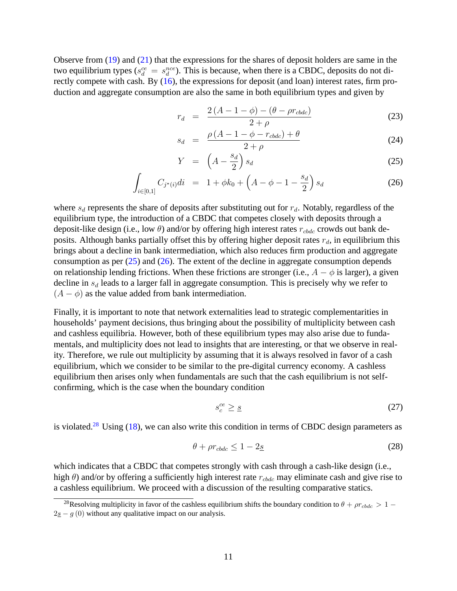Observe from (19) and (21) that the expressions for the shares of deposit holders are same in the two equilibrium types ( $s_d^{ce} = s_d^{nce}$ ). This is because, when there is a CBDC, deposits do not directly compete with cash. By (16), the expressions for deposit (and loan) interest rates, firm production and aggregate consumption are also the same in both equilibrium types and given by

$$
r_d = \frac{2(A - 1 - \phi) - (\theta - \rho r_{cbdc})}{2 + \rho}
$$
 (23)

$$
s_d = \frac{\rho (A - 1 - \phi - r_{cbdc}) + \theta}{2 + \rho} \tag{24}
$$

$$
Y = \left(A - \frac{s_d}{2}\right)s_d \tag{25}
$$

$$
\int_{i \in [0,1]} C_{j^*(i)} di = 1 + \phi k_0 + \left( A - \phi - 1 - \frac{s_d}{2} \right) s_d \tag{26}
$$

where  $s_d$  represents the share of deposits after substituting out for  $r_d$ . Notably, regardless of the equilibrium type, the introduction of a CBDC that competes closely with deposits through a deposit-like design (i.e., low  $\theta$ ) and/or by offering high interest rates  $r_{\text{c}bdc}$  crowds out bank deposits. Although banks partially offset this by offering higher deposit rates  $r_d$ , in equilibrium this brings about a decline in bank intermediation, which also reduces firm production and aggregate consumption as per  $(25)$  and  $(26)$ . The extent of the decline in aggregate consumption depends on relationship lending frictions. When these frictions are stronger (i.e.,  $A - \phi$  is larger), a given decline in  $s_d$  leads to a larger fall in aggregate consumption. This is precisely why we refer to  $(A - \phi)$  as the value added from bank intermediation.

Finally, it is important to note that network externalities lead to strategic complementarities in households' payment decisions, thus bringing about the possibility of multiplicity between cash and cashless equilibria. However, both of these equilibrium types may also arise due to fundamentals, and multiplicity does not lead to insights that are interesting, or that we observe in reality. Therefore, we rule out multiplicity by assuming that it is always resolved in favor of a cash equilibrium, which we consider to be similar to the pre-digital currency economy. A cashless equilibrium then arises only when fundamentals are such that the cash equilibrium is not selfconfirming, which is the case when the boundary condition

$$
s_c^{ce} \geq \underline{s} \tag{27}
$$

is violated.<sup>28</sup> Using  $(18)$ , we can also write this condition in terms of CBDC design parameters as

$$
\theta + \rho r_{\text{cbdc}} \le 1 - 2\underline{s} \tag{28}
$$

which indicates that a CBDC that competes strongly with cash through a cash-like design (i.e., high  $\theta$ ) and/or by offering a sufficiently high interest rate  $r_{cbdc}$  may eliminate cash and give rise to a cashless equilibrium. We proceed with a discussion of the resulting comparative statics.

<sup>&</sup>lt;sup>28</sup>Resolving multiplicity in favor of the cashless equilibrium shifts the boundary condition to  $\theta + \rho r_{cbdc} > 1 2s - g(0)$  without any qualitative impact on our analysis.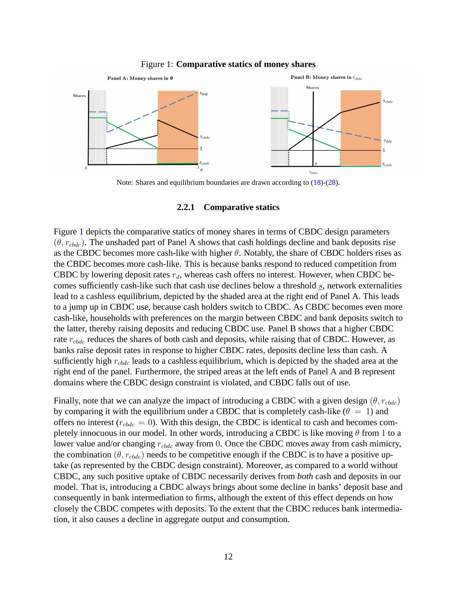

#### Figure 1: **Comparative statics of money shares**

Note: Shares and equilibrium boundaries are drawn according to (18)-(28).

#### **2.2.1 Comparative statics**

Figure 1 depicts the comparative statics of money shares in terms of CBDC design parameters  $(\theta, r_{\text{c}bdc})$ . The unshaded part of Panel A shows that cash holdings decline and bank deposits rise as the CBDC becomes more cash-like with higher  $\theta$ . Notably, the share of CBDC holders rises as the CBDC becomes more cash-like. This is because banks respond to reduced competition from CBDC by lowering deposit rates  $r_d$ , whereas cash offers no interest. However, when CBDC becomes sufficiently cash-like such that cash use declines below a threshold  $s$ , network externalities lead to a cashless equilibrium, depicted by the shaded area at the right end of Panel A. This leads to a jump up in CBDC use, because cash holders switch to CBDC. As CBDC becomes even more cash-like, households with preferences on the margin between CBDC and bank deposits switch to the latter, thereby raising deposits and reducing CBDC use. Panel B shows that a higher CBDC rate  $r_{\text{c}bdc}$  reduces the shares of both cash and deposits, while raising that of CBDC. However, as banks raise deposit rates in response to higher CBDC rates, deposits decline less than cash. A sufficiently high  $r_{\text{c}bdc}$  leads to a cashless equilibrium, which is depicted by the shaded area at the right end of the panel. Furthermore, the striped areas at the left ends of Panel A and B represent domains where the CBDC design constraint is violated, and CBDC falls out of use.

Finally, note that we can analyze the impact of introducing a CBDC with a given design  $(\theta, r_{\text{c}bdc})$ by comparing it with the equilibrium under a CBDC that is completely cash-like ( $\theta = 1$ ) and offers no interest ( $r_{cbdc} = 0$ ). With this design, the CBDC is identical to cash and becomes completely innocuous in our model. In other words, introducing a CBDC is like moving  $\theta$  from 1 to a lower value and/or changing  $r_{\text{c}bdc}$  away from 0. Once the CBDC moves away from cash mimicry, the combination ( $\theta$ ,  $r_{cbdc}$ ) needs to be competitive enough if the CBDC is to have a positive uptake (as represented by the CBDC design constraint). Moreover, as compared to a world without CBDC, any such positive uptake of CBDC necessarily derives from *both* cash and deposits in our model. That is, introducing a CBDC always brings about some decline in banks' deposit base and consequently in bank intermediation to firms, although the extent of this effect depends on how closely the CBDC competes with deposits. To the extent that the CBDC reduces bank intermediation, it also causes a decline in aggregate output and consumption.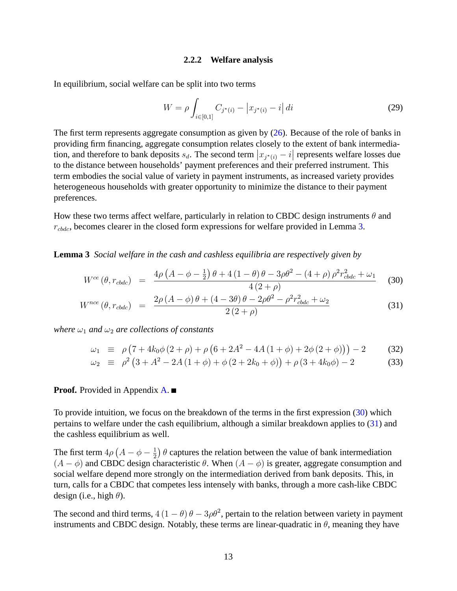#### **2.2.2 Welfare analysis**

In equilibrium, social welfare can be split into two terms

$$
W = \rho \int_{i \in [0,1]} C_{j^*(i)} - |x_{j^*(i)} - i| \, di \tag{29}
$$

The first term represents aggregate consumption as given by  $(26)$ . Because of the role of banks in providing firm financing, aggregate consumption relates closely to the extent of bank intermediation, and therefore to bank deposits  $s_d$ . The second term  $|x_{j^*(i)} - i|$  represents welfare losses due to the distance between households' payment preferences and their preferred instrument. This term embodies the social value of variety in payment instruments, as increased variety provides heterogeneous households with greater opportunity to minimize the distance to their payment preferences.

How these two terms affect welfare, particularly in relation to CBDC design instruments  $\theta$  and  $r_{\text{c}bdc}$ , becomes clearer in the closed form expressions for welfare provided in Lemma 3.

**Lemma 3** *Social welfare in the cash and cashless equilibria are respectively given by*

$$
W^{ce}(\theta, r_{cbdc}) = \frac{4\rho\left(A - \phi - \frac{1}{2}\right)\theta + 4\left(1 - \theta\right)\theta - 3\rho\theta^2 - \left(4 + \rho\right)\rho^2 r_{cbdc}^2 + \omega_1}{4\left(2 + \rho\right)} \tag{30}
$$

$$
W^{nce} (\theta, r_{cbdc}) = \frac{2\rho (A - \phi) \theta + (4 - 3\theta) \theta - 2\rho \theta^2 - \rho^2 r_{cbdc}^2 + \omega_2}{2 (2 + \rho)}
$$
(31)

*where*  $\omega_1$  *and*  $\omega_2$  *are collections of constants* 

$$
\omega_1 \equiv \rho \left( 7 + 4k_0 \phi \left( 2 + \rho \right) + \rho \left( 6 + 2A^2 - 4A \left( 1 + \phi \right) + 2\phi \left( 2 + \phi \right) \right) \right) - 2 \tag{32}
$$

$$
\omega_2 \equiv \rho^2 \left( 3 + A^2 - 2A \left( 1 + \phi \right) + \phi \left( 2 + 2k_0 + \phi \right) \right) + \rho \left( 3 + 4k_0 \phi \right) - 2 \tag{33}
$$

#### **Proof.** Provided in Appendix **A**. ■

To provide intuition, we focus on the breakdown of the terms in the first expression (30) which pertains to welfare under the cash equilibrium, although a similar breakdown applies to (31) and the cashless equilibrium as well.

The first term  $4\rho \left( A - \phi - \frac{1}{2} \right)$  $\frac{1}{2}$ )  $\theta$  captures the relation between the value of bank intermediation  $(A - \phi)$  and CBDC design characteristic  $\theta$ . When  $(A - \phi)$  is greater, aggregate consumption and social welfare depend more strongly on the intermediation derived from bank deposits. This, in turn, calls for a CBDC that competes less intensely with banks, through a more cash-like CBDC design (i.e., high  $\theta$ ).

The second and third terms,  $4(1 - \theta)\theta - 3\rho\theta^2$ , pertain to the relation between variety in payment instruments and CBDC design. Notably, these terms are linear-quadratic in  $\theta$ , meaning they have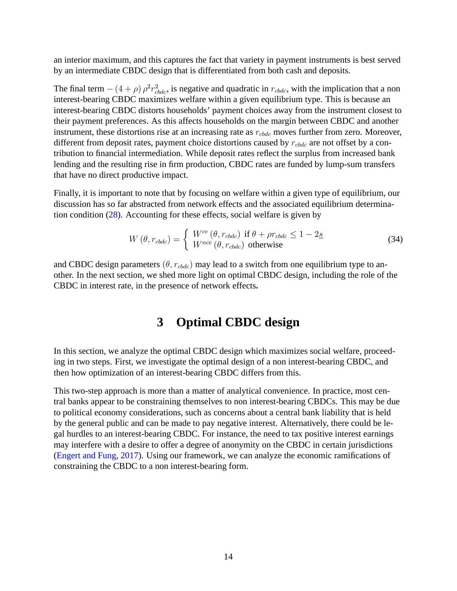an interior maximum, and this captures the fact that variety in payment instruments is best served by an intermediate CBDC design that is differentiated from both cash and deposits.

The final term  $-(4+\rho)\rho^2 r_{cbdc}^2$ , is negative and quadratic in  $r_{cbdc}$ , with the implication that a non interest-bearing CBDC maximizes welfare within a given equilibrium type. This is because an interest-bearing CBDC distorts households' payment choices away from the instrument closest to their payment preferences. As this affects households on the margin between CBDC and another instrument, these distortions rise at an increasing rate as  $r_{\text{c}bdc}$  moves further from zero. Moreover, different from deposit rates, payment choice distortions caused by  $r_{cbdc}$  are not offset by a contribution to financial intermediation. While deposit rates reflect the surplus from increased bank lending and the resulting rise in firm production, CBDC rates are funded by lump-sum transfers that have no direct productive impact.

Finally, it is important to note that by focusing on welfare within a given type of equilibrium, our discussion has so far abstracted from network effects and the associated equilibrium determination condition (28). Accounting for these effects, social welfare is given by

$$
W(\theta, r_{cbdc}) = \begin{cases} W^{ce}(\theta, r_{cbdc}) & \text{if } \theta + \rho r_{cbdc} \le 1 - 2\underline{s} \\ W^{nce}(\theta, r_{cbdc}) & \text{otherwise} \end{cases}
$$
(34)

and CBDC design parameters  $(\theta, r_{\text{c}bdc})$  may lead to a switch from one equilibrium type to another. In the next section, we shed more light on optimal CBDC design, including the role of the CBDC in interest rate, in the presence of network effects**.**

# **3 Optimal CBDC design**

In this section, we analyze the optimal CBDC design which maximizes social welfare, proceeding in two steps. First, we investigate the optimal design of a non interest-bearing CBDC, and then how optimization of an interest-bearing CBDC differs from this.

This two-step approach is more than a matter of analytical convenience. In practice, most central banks appear to be constraining themselves to non interest-bearing CBDCs. This may be due to political economy considerations, such as concerns about a central bank liability that is held by the general public and can be made to pay negative interest. Alternatively, there could be legal hurdles to an interest-bearing CBDC. For instance, the need to tax positive interest earnings may interfere with a desire to offer a degree of anonymity on the CBDC in certain jurisdictions (Engert and Fung, 2017). Using our framework, we can analyze the economic ramifications of constraining the CBDC to a non interest-bearing form.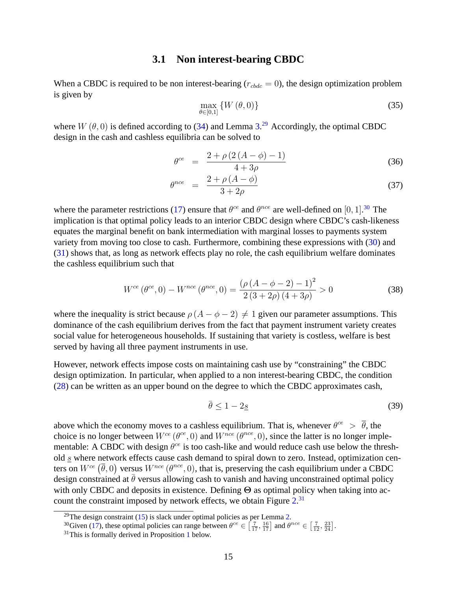# **3.1 Non interest-bearing CBDC**

When a CBDC is required to be non interest-bearing ( $r_{cbdc} = 0$ ), the design optimization problem is given by

$$
\max_{\theta \in [0,1]} \left\{ W \left( \theta, 0 \right) \right\} \tag{35}
$$

where  $W(\theta, 0)$  is defined according to (34) and Lemma 3.<sup>29</sup> Accordingly, the optimal CBDC design in the cash and cashless equilibria can be solved to

$$
\theta^{ce} = \frac{2 + \rho (2(A - \phi) - 1)}{4 + 3\rho} \tag{36}
$$

$$
\theta^{nce} = \frac{2 + \rho \left( A - \phi \right)}{3 + 2\rho} \tag{37}
$$

where the parameter restrictions (17) ensure that  $\theta^{ce}$  and  $\theta^{nce}$  are well-defined on [0, 1].<sup>30</sup> The implication is that optimal policy leads to an interior CBDC design where CBDC's cash-likeness equates the marginal benefit on bank intermediation with marginal losses to payments system variety from moving too close to cash. Furthermore, combining these expressions with (30) and (31) shows that, as long as network effects play no role, the cash equilibrium welfare dominates the cashless equilibrium such that

$$
W^{ce}(\theta^{ce}, 0) - W^{nce}(\theta^{nce}, 0) = \frac{(\rho(A - \phi - 2) - 1)^2}{2(3 + 2\rho)(4 + 3\rho)} > 0
$$
\n(38)

where the inequality is strict because  $\rho(A - \phi - 2) \neq 1$  given our parameter assumptions. This dominance of the cash equilibrium derives from the fact that payment instrument variety creates social value for heterogeneous households. If sustaining that variety is costless, welfare is best served by having all three payment instruments in use.

However, network effects impose costs on maintaining cash use by "constraining" the CBDC design optimization. In particular, when applied to a non interest-bearing CBDC, the condition (28) can be written as an upper bound on the degree to which the CBDC approximates cash,

$$
\bar{\theta} \le 1 - 2\underline{s} \tag{39}
$$

above which the economy moves to a cashless equilibrium. That is, whenever  $\theta^{ce} > \overline{\theta}$ , the choice is no longer between  $W^{ce}(\theta^{ce}, 0)$  and  $W^{nce}(\theta^{nce}, 0)$ , since the latter is no longer implementable: A CBDC with design  $\theta^{ce}$  is too cash-like and would reduce cash use below the threshold s where network effects cause cash demand to spiral down to zero. Instead, optimization centers on  $W^{ce}(\bar{\theta},0)$  versus  $W^{nce}(\theta^{nce},0)$ , that is, preserving the cash equilibrium under a CBDC design constrained at  $\bar{\theta}$  versus allowing cash to vanish and having unconstrained optimal policy with only CBDC and deposits in existence. Defining  $\Theta$  as optimal policy when taking into account the constraint imposed by network effects, we obtain Figure 2.<sup>31</sup>

<sup>&</sup>lt;sup>29</sup>The design constraint  $(15)$  is slack under optimal policies as per Lemma 2.

<sup>&</sup>lt;sup>30</sup>Given (17), these optimal policies can range between  $\theta^{ce} \in \left[\frac{7}{17}, \frac{16}{17}\right]$  and  $\theta^{nce} \in \left[\frac{7}{12}, \frac{23}{24}\right]$ .

 $31$ This is formally derived in Proposition 1 below.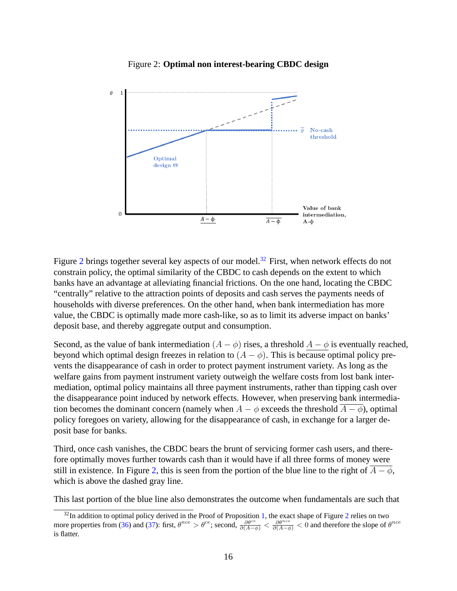

Figure 2: **Optimal non interest-bearing CBDC design**

Figure 2 brings together several key aspects of our model.<sup>32</sup> First, when network effects do not constrain policy, the optimal similarity of the CBDC to cash depends on the extent to which banks have an advantage at alleviating financial frictions. On the one hand, locating the CBDC "centrally" relative to the attraction points of deposits and cash serves the payments needs of households with diverse preferences. On the other hand, when bank intermediation has more value, the CBDC is optimally made more cash-like, so as to limit its adverse impact on banks' deposit base, and thereby aggregate output and consumption.

Second, as the value of bank intermediation  $(A - \phi)$  rises, a threshold  $A - \phi$  is eventually reached, beyond which optimal design freezes in relation to  $(A - \phi)$ . This is because optimal policy prevents the disappearance of cash in order to protect payment instrument variety. As long as the welfare gains from payment instrument variety outweigh the welfare costs from lost bank intermediation, optimal policy maintains all three payment instruments, rather than tipping cash over the disappearance point induced by network effects. However, when preserving bank intermediation becomes the dominant concern (namely when  $A - \phi$  exceeds the threshold  $\overline{A - \phi}$ ), optimal policy foregoes on variety, allowing for the disappearance of cash, in exchange for a larger deposit base for banks.

Third, once cash vanishes, the CBDC bears the brunt of servicing former cash users, and therefore optimally moves further towards cash than it would have if all three forms of money were still in existence. In Figure 2, this is seen from the portion of the blue line to the right of  $\overline{A - \phi}$ , which is above the dashed gray line.

This last portion of the blue line also demonstrates the outcome when fundamentals are such that

 $32$ In addition to optimal policy derived in the Proof of Proposition 1, the exact shape of Figure 2 relies on two more properties from (36) and (37): first,  $\theta^{nce} > \theta^{ce}$ ; second,  $\frac{\partial \theta^{ce}}{\partial (A-\phi)} < \frac{\partial \theta^{nce}}{\partial (A-\phi)} < 0$  and therefore the slope of  $\theta^{nce}$ is flatter.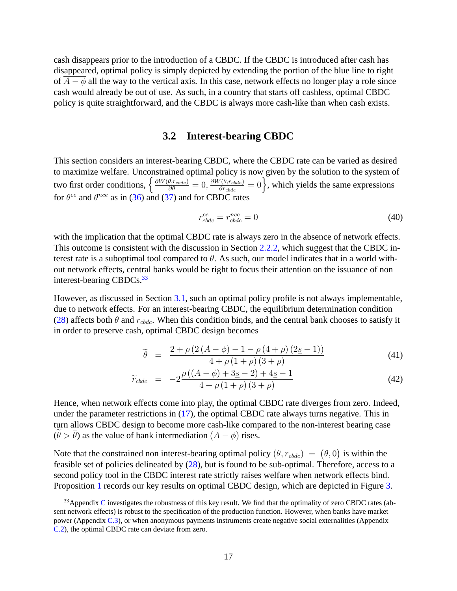cash disappears prior to the introduction of a CBDC. If the CBDC is introduced after cash has disappeared, optimal policy is simply depicted by extending the portion of the blue line to right of  $A - \phi$  all the way to the vertical axis. In this case, network effects no longer play a role since cash would already be out of use. As such, in a country that starts off cashless, optimal CBDC policy is quite straightforward, and the CBDC is always more cash-like than when cash exists.

## **3.2 Interest-bearing CBDC**

This section considers an interest-bearing CBDC, where the CBDC rate can be varied as desired to maximize welfare. Unconstrained optimal policy is now given by the solution to the system of two first order conditions,  $\left\{\frac{\partial W(\theta, r_{cbdc})}{\partial \theta} = 0, \frac{\partial W(\theta, r_{cbdc})}{\partial r_{cbdc}}\right\}$  $\overline{\frac{\partial r_{cbdc}}{\partial r_{cbdc}}} = 0$ , which yields the same expressions for  $\theta^{ce}$  and  $\theta^{nce}$  as in (36) and (37) and for CBDC rates

$$
r_{cbdc}^{ce} = r_{cbdc}^{nce} = 0 \tag{40}
$$

with the implication that the optimal CBDC rate is always zero in the absence of network effects. This outcome is consistent with the discussion in Section 2.2.2, which suggest that the CBDC interest rate is a suboptimal tool compared to  $\theta$ . As such, our model indicates that in a world without network effects, central banks would be right to focus their attention on the issuance of non interest-bearing CBDCs.<sup>33</sup>

However, as discussed in Section 3.1, such an optimal policy profile is not always implementable, due to network effects. For an interest-bearing CBDC, the equilibrium determination condition (28) affects both  $\theta$  and  $r_{cbdc}$ . When this condition binds, and the central bank chooses to satisfy it in order to preserve cash, optimal CBDC design becomes

$$
\widetilde{\theta} = \frac{2 + \rho \left( 2 \left( A - \phi \right) - 1 - \rho \left( 4 + \rho \right) \left( 2 \underline{s} - 1 \right) \right)}{4 + \rho \left( 1 + \rho \right) \left( 3 + \rho \right)} \tag{41}
$$

$$
\widetilde{r}_{cbdc} = -2\frac{\rho\left((A - \phi) + 3\underline{s} - 2\right) + 4\underline{s} - 1}{4 + \rho\left(1 + \rho\right)\left(3 + \rho\right)}\tag{42}
$$

Hence, when network effects come into play, the optimal CBDC rate diverges from zero. Indeed, under the parameter restrictions in  $(17)$ , the optimal CBDC rate always turns negative. This in turn allows CBDC design to become more cash-like compared to the non-interest bearing case  $(\theta > \overline{\theta})$  as the value of bank intermediation  $(A - \phi)$  rises.

Note that the constrained non interest-bearing optimal policy  $(\theta, r_{cbdc}) = (\bar{\theta}, 0)$  is within the feasible set of policies delineated by (28), but is found to be sub-optimal. Therefore, access to a second policy tool in the CBDC interest rate strictly raises welfare when network effects bind. Proposition 1 records our key results on optimal CBDC design, which are depicted in Figure 3.

 $33$ Appendix C investigates the robustness of this key result. We find that the optimality of zero CBDC rates (absent network effects) is robust to the specification of the production function. However, when banks have market power (Appendix C.3), or when anonymous payments instruments create negative social externalities (Appendix C.2), the optimal CBDC rate can deviate from zero.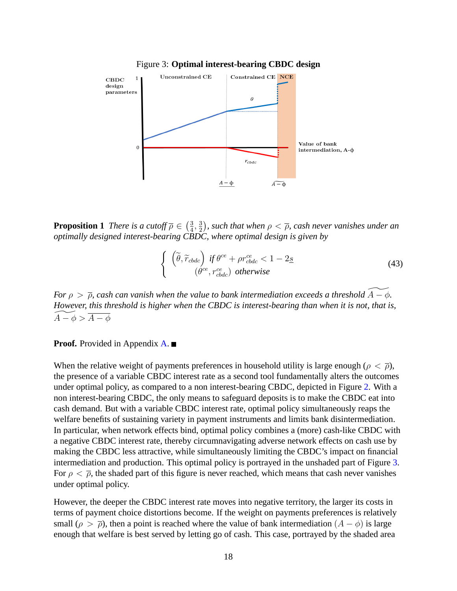

Figure 3: **Optimal interest-bearing CBDC design**

**Proposition 1** *There is a cutoff*  $\overline{\rho} \in \left(\frac{3}{4}\right)$  $\frac{3}{4}, \frac{3}{2}$  $\frac{3}{2}$ ), such that when  $\rho < \overline{\rho}$ , cash never vanishes under an *optimally designed interest-bearing CBDC, where optimal design is given by*

$$
\begin{cases}\n\left(\tilde{\theta}, \tilde{r}_{cbdc}\right) \text{ if } \theta^{ce} + \rho r_{cbdc}^{ce} < 1 - 2\underline{s} \\
\left(\theta^{ce}, r_{cbdc}^{ce}\right) \text{ otherwise}\n\end{cases} \tag{43}
$$

*For*  $\rho > \overline{\rho}$ , cash can vanish when the value to bank intermediation exceeds a threshold  $A - \phi$ . *However, this threshold is higher when the CBDC is interest-bearing than when it is not, that is,*  $A - \phi > \overline{A - \phi}$ 

**Proof.** Provided in Appendix **A**. ■

When the relative weight of payments preferences in household utility is large enough ( $\rho < \overline{\rho}$ ), the presence of a variable CBDC interest rate as a second tool fundamentally alters the outcomes under optimal policy, as compared to a non interest-bearing CBDC, depicted in Figure 2. With a non interest-bearing CBDC, the only means to safeguard deposits is to make the CBDC eat into cash demand. But with a variable CBDC interest rate, optimal policy simultaneously reaps the welfare benefits of sustaining variety in payment instruments and limits bank disintermediation. In particular, when network effects bind, optimal policy combines a (more) cash-like CBDC with a negative CBDC interest rate, thereby circumnavigating adverse network effects on cash use by making the CBDC less attractive, while simultaneously limiting the CBDC's impact on financial intermediation and production. This optimal policy is portrayed in the unshaded part of Figure 3. For  $\rho < \overline{\rho}$ , the shaded part of this figure is never reached, which means that cash never vanishes under optimal policy.

However, the deeper the CBDC interest rate moves into negative territory, the larger its costs in terms of payment choice distortions become. If the weight on payments preferences is relatively small ( $\rho > \overline{\rho}$ ), then a point is reached where the value of bank intermediation ( $A - \phi$ ) is large enough that welfare is best served by letting go of cash. This case, portrayed by the shaded area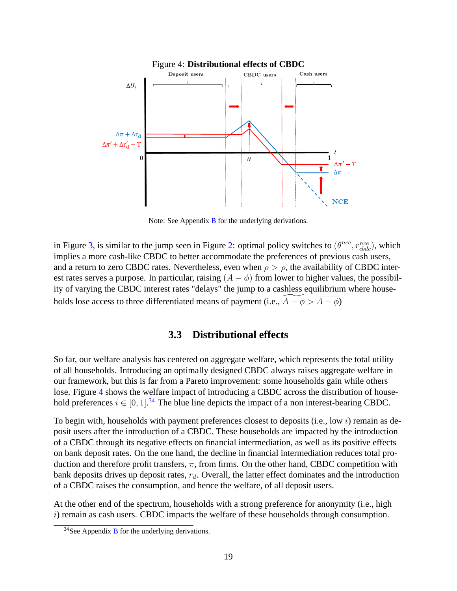

Note: See Appendix B for the underlying derivations.

in Figure 3, is similar to the jump seen in Figure 2: optimal policy switches to  $(\theta^{nce}, r_{cbdc}^{nce})$ , which implies a more cash-like CBDC to better accommodate the preferences of previous cash users, and a return to zero CBDC rates. Nevertheless, even when  $\rho > \overline{\rho}$ , the availability of CBDC interest rates serves a purpose. In particular, raising  $(A - \phi)$  from lower to higher values, the possibility of varying the CBDC interest rates "delays" the jump to a cashless equilibrium where households lose access to three differentiated means of payment (i.e.,  $\overline{A - \phi} > \overline{A - \phi}$ )

# **3.3 Distributional effects**

So far, our welfare analysis has centered on aggregate welfare, which represents the total utility of all households. Introducing an optimally designed CBDC always raises aggregate welfare in our framework, but this is far from a Pareto improvement: some households gain while others lose. Figure 4 shows the welfare impact of introducing a CBDC across the distribution of household preferences  $i \in [0, 1]$ .<sup>34</sup> The blue line depicts the impact of a non interest-bearing CBDC.

To begin with, households with payment preferences closest to deposits (i.e., low i) remain as deposit users after the introduction of a CBDC. These households are impacted by the introduction of a CBDC through its negative effects on financial intermediation, as well as its positive effects on bank deposit rates. On the one hand, the decline in financial intermediation reduces total production and therefore profit transfers,  $\pi$ , from firms. On the other hand, CBDC competition with bank deposits drives up deposit rates,  $r_d$ . Overall, the latter effect dominates and the introduction of a CBDC raises the consumption, and hence the welfare, of all deposit users.

At the other end of the spectrum, households with a strong preference for anonymity (i.e., high i) remain as cash users. CBDC impacts the welfare of these households through consumption.

 $34$ See Appendix B for the underlying derivations.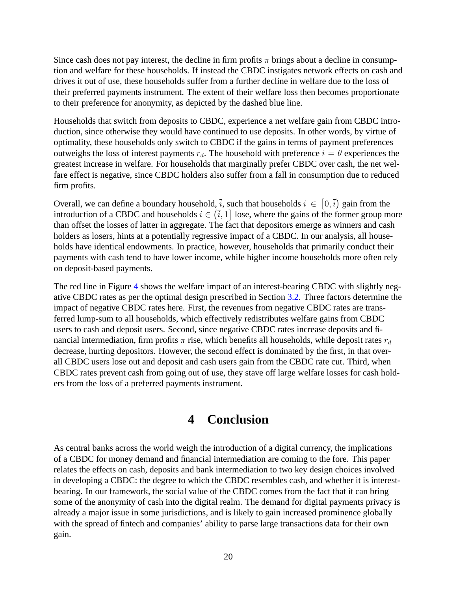Since cash does not pay interest, the decline in firm profits  $\pi$  brings about a decline in consumption and welfare for these households. If instead the CBDC instigates network effects on cash and drives it out of use, these households suffer from a further decline in welfare due to the loss of their preferred payments instrument. The extent of their welfare loss then becomes proportionate to their preference for anonymity, as depicted by the dashed blue line.

Households that switch from deposits to CBDC, experience a net welfare gain from CBDC introduction, since otherwise they would have continued to use deposits. In other words, by virtue of optimality, these households only switch to CBDC if the gains in terms of payment preferences outweighs the loss of interest payments  $r_d$ . The household with preference  $i = \theta$  experiences the greatest increase in welfare. For households that marginally prefer CBDC over cash, the net welfare effect is negative, since CBDC holders also suffer from a fall in consumption due to reduced firm profits.

Overall, we can define a boundary household,  $\overline{i}$ , such that households  $i \in [0, \overline{i})$  gain from the introduction of a CBDC and households  $i \in \left(\overline{i}, 1\right]$  lose, where the gains of the former group more than offset the losses of latter in aggregate. The fact that depositors emerge as winners and cash holders as losers, hints at a potentially regressive impact of a CBDC. In our analysis, all households have identical endowments. In practice, however, households that primarily conduct their payments with cash tend to have lower income, while higher income households more often rely on deposit-based payments.

The red line in Figure 4 shows the welfare impact of an interest-bearing CBDC with slightly negative CBDC rates as per the optimal design prescribed in Section 3.2. Three factors determine the impact of negative CBDC rates here. First, the revenues from negative CBDC rates are transferred lump-sum to all households, which effectively redistributes welfare gains from CBDC users to cash and deposit users. Second, since negative CBDC rates increase deposits and financial intermediation, firm profits  $\pi$  rise, which benefits all households, while deposit rates  $r_d$ decrease, hurting depositors. However, the second effect is dominated by the first, in that overall CBDC users lose out and deposit and cash users gain from the CBDC rate cut. Third, when CBDC rates prevent cash from going out of use, they stave off large welfare losses for cash holders from the loss of a preferred payments instrument.

# **4 Conclusion**

As central banks across the world weigh the introduction of a digital currency, the implications of a CBDC for money demand and financial intermediation are coming to the fore. This paper relates the effects on cash, deposits and bank intermediation to two key design choices involved in developing a CBDC: the degree to which the CBDC resembles cash, and whether it is interestbearing. In our framework, the social value of the CBDC comes from the fact that it can bring some of the anonymity of cash into the digital realm. The demand for digital payments privacy is already a major issue in some jurisdictions, and is likely to gain increased prominence globally with the spread of fintech and companies' ability to parse large transactions data for their own gain.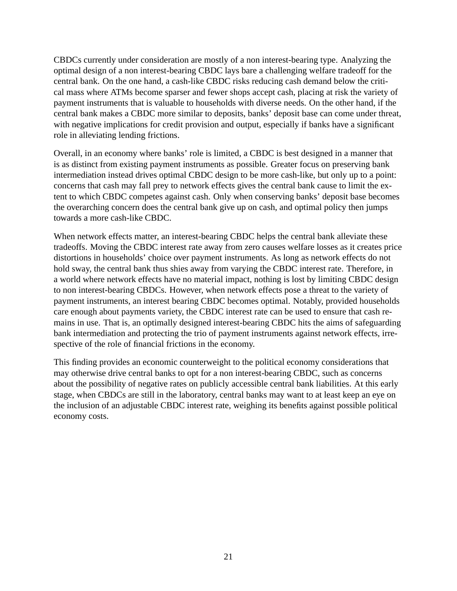CBDCs currently under consideration are mostly of a non interest-bearing type. Analyzing the optimal design of a non interest-bearing CBDC lays bare a challenging welfare tradeoff for the central bank. On the one hand, a cash-like CBDC risks reducing cash demand below the critical mass where ATMs become sparser and fewer shops accept cash, placing at risk the variety of payment instruments that is valuable to households with diverse needs. On the other hand, if the central bank makes a CBDC more similar to deposits, banks' deposit base can come under threat, with negative implications for credit provision and output, especially if banks have a significant role in alleviating lending frictions.

Overall, in an economy where banks' role is limited, a CBDC is best designed in a manner that is as distinct from existing payment instruments as possible. Greater focus on preserving bank intermediation instead drives optimal CBDC design to be more cash-like, but only up to a point: concerns that cash may fall prey to network effects gives the central bank cause to limit the extent to which CBDC competes against cash. Only when conserving banks' deposit base becomes the overarching concern does the central bank give up on cash, and optimal policy then jumps towards a more cash-like CBDC.

When network effects matter, an interest-bearing CBDC helps the central bank alleviate these tradeoffs. Moving the CBDC interest rate away from zero causes welfare losses as it creates price distortions in households' choice over payment instruments. As long as network effects do not hold sway, the central bank thus shies away from varying the CBDC interest rate. Therefore, in a world where network effects have no material impact, nothing is lost by limiting CBDC design to non interest-bearing CBDCs. However, when network effects pose a threat to the variety of payment instruments, an interest bearing CBDC becomes optimal. Notably, provided households care enough about payments variety, the CBDC interest rate can be used to ensure that cash remains in use. That is, an optimally designed interest-bearing CBDC hits the aims of safeguarding bank intermediation and protecting the trio of payment instruments against network effects, irrespective of the role of financial frictions in the economy.

This finding provides an economic counterweight to the political economy considerations that may otherwise drive central banks to opt for a non interest-bearing CBDC, such as concerns about the possibility of negative rates on publicly accessible central bank liabilities. At this early stage, when CBDCs are still in the laboratory, central banks may want to at least keep an eye on the inclusion of an adjustable CBDC interest rate, weighing its benefits against possible political economy costs.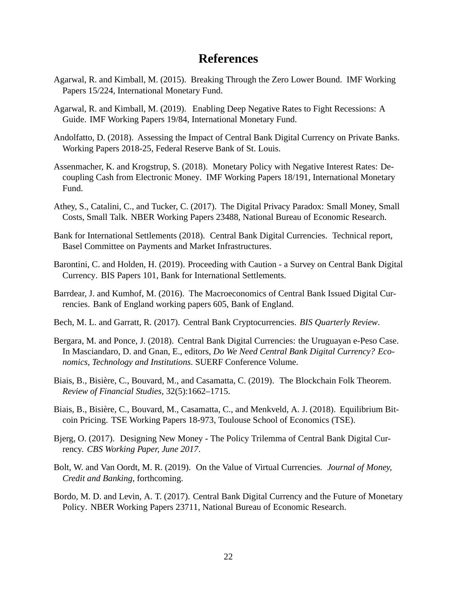# **References**

- Agarwal, R. and Kimball, M. (2015). Breaking Through the Zero Lower Bound. IMF Working Papers 15/224, International Monetary Fund.
- Agarwal, R. and Kimball, M. (2019). Enabling Deep Negative Rates to Fight Recessions: A Guide. IMF Working Papers 19/84, International Monetary Fund.
- Andolfatto, D. (2018). Assessing the Impact of Central Bank Digital Currency on Private Banks. Working Papers 2018-25, Federal Reserve Bank of St. Louis.
- Assenmacher, K. and Krogstrup, S. (2018). Monetary Policy with Negative Interest Rates: Decoupling Cash from Electronic Money. IMF Working Papers 18/191, International Monetary Fund.
- Athey, S., Catalini, C., and Tucker, C. (2017). The Digital Privacy Paradox: Small Money, Small Costs, Small Talk. NBER Working Papers 23488, National Bureau of Economic Research.
- Bank for International Settlements (2018). Central Bank Digital Currencies. Technical report, Basel Committee on Payments and Market Infrastructures.
- Barontini, C. and Holden, H. (2019). Proceeding with Caution a Survey on Central Bank Digital Currency. BIS Papers 101, Bank for International Settlements.
- Barrdear, J. and Kumhof, M. (2016). The Macroeconomics of Central Bank Issued Digital Currencies. Bank of England working papers 605, Bank of England.
- Bech, M. L. and Garratt, R. (2017). Central Bank Cryptocurrencies. *BIS Quarterly Review*.
- Bergara, M. and Ponce, J. (2018). Central Bank Digital Currencies: the Uruguayan e-Peso Case. In Masciandaro, D. and Gnan, E., editors, *Do We Need Central Bank Digital Currency? Economics, Technology and Institutions*. SUERF Conference Volume.
- Biais, B., Bisière, C., Bouvard, M., and Casamatta, C. (2019). The Blockchain Folk Theorem. *Review of Financial Studies*, 32(5):1662–1715.
- Biais, B., Bisière, C., Bouvard, M., Casamatta, C., and Menkveld, A. J. (2018). Equilibrium Bitcoin Pricing. TSE Working Papers 18-973, Toulouse School of Economics (TSE).
- Bjerg, O. (2017). Designing New Money The Policy Trilemma of Central Bank Digital Currency. *CBS Working Paper, June 2017*.
- Bolt, W. and Van Oordt, M. R. (2019). On the Value of Virtual Currencies. *Journal of Money, Credit and Banking*, forthcoming.
- Bordo, M. D. and Levin, A. T. (2017). Central Bank Digital Currency and the Future of Monetary Policy. NBER Working Papers 23711, National Bureau of Economic Research.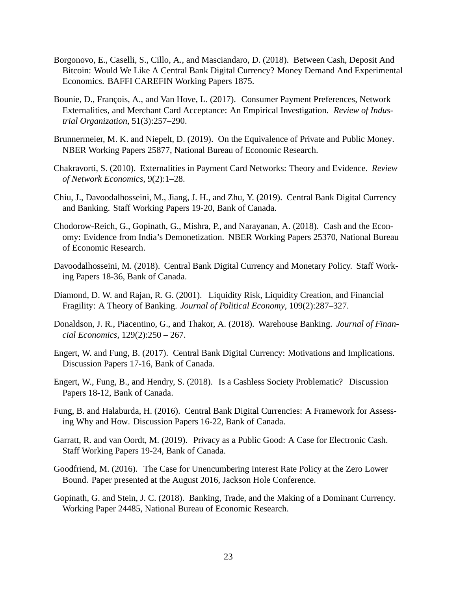- Borgonovo, E., Caselli, S., Cillo, A., and Masciandaro, D. (2018). Between Cash, Deposit And Bitcoin: Would We Like A Central Bank Digital Currency? Money Demand And Experimental Economics. BAFFI CAREFIN Working Papers 1875.
- Bounie, D., François, A., and Van Hove, L. (2017). Consumer Payment Preferences, Network Externalities, and Merchant Card Acceptance: An Empirical Investigation. *Review of Industrial Organization*, 51(3):257–290.
- Brunnermeier, M. K. and Niepelt, D. (2019). On the Equivalence of Private and Public Money. NBER Working Papers 25877, National Bureau of Economic Research.
- Chakravorti, S. (2010). Externalities in Payment Card Networks: Theory and Evidence. *Review of Network Economics*, 9(2):1–28.
- Chiu, J., Davoodalhosseini, M., Jiang, J. H., and Zhu, Y. (2019). Central Bank Digital Currency and Banking. Staff Working Papers 19-20, Bank of Canada.
- Chodorow-Reich, G., Gopinath, G., Mishra, P., and Narayanan, A. (2018). Cash and the Economy: Evidence from India's Demonetization. NBER Working Papers 25370, National Bureau of Economic Research.
- Davoodalhosseini, M. (2018). Central Bank Digital Currency and Monetary Policy. Staff Working Papers 18-36, Bank of Canada.
- Diamond, D. W. and Rajan, R. G. (2001). Liquidity Risk, Liquidity Creation, and Financial Fragility: A Theory of Banking. *Journal of Political Economy*, 109(2):287–327.
- Donaldson, J. R., Piacentino, G., and Thakor, A. (2018). Warehouse Banking. *Journal of Financial Economics*, 129(2):250 – 267.
- Engert, W. and Fung, B. (2017). Central Bank Digital Currency: Motivations and Implications. Discussion Papers 17-16, Bank of Canada.
- Engert, W., Fung, B., and Hendry, S. (2018). Is a Cashless Society Problematic? Discussion Papers 18-12, Bank of Canada.
- Fung, B. and Halaburda, H. (2016). Central Bank Digital Currencies: A Framework for Assessing Why and How. Discussion Papers 16-22, Bank of Canada.
- Garratt, R. and van Oordt, M. (2019). Privacy as a Public Good: A Case for Electronic Cash. Staff Working Papers 19-24, Bank of Canada.
- Goodfriend, M. (2016). The Case for Unencumbering Interest Rate Policy at the Zero Lower Bound. Paper presented at the August 2016, Jackson Hole Conference.
- Gopinath, G. and Stein, J. C. (2018). Banking, Trade, and the Making of a Dominant Currency. Working Paper 24485, National Bureau of Economic Research.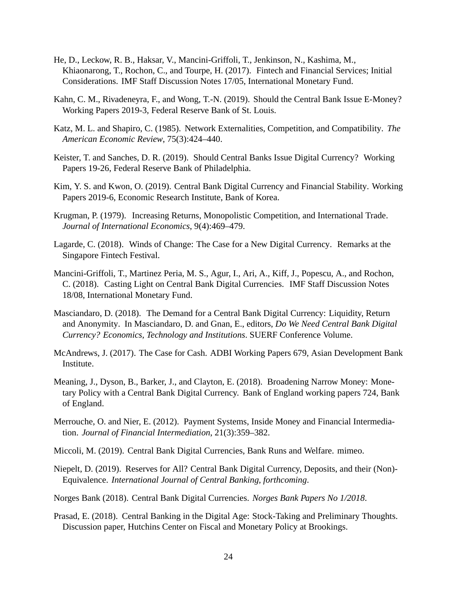- He, D., Leckow, R. B., Haksar, V., Mancini-Griffoli, T., Jenkinson, N., Kashima, M., Khiaonarong, T., Rochon, C., and Tourpe, H. (2017). Fintech and Financial Services; Initial Considerations. IMF Staff Discussion Notes 17/05, International Monetary Fund.
- Kahn, C. M., Rivadeneyra, F., and Wong, T.-N. (2019). Should the Central Bank Issue E-Money? Working Papers 2019-3, Federal Reserve Bank of St. Louis.
- Katz, M. L. and Shapiro, C. (1985). Network Externalities, Competition, and Compatibility. *The American Economic Review*, 75(3):424–440.
- Keister, T. and Sanches, D. R. (2019). Should Central Banks Issue Digital Currency? Working Papers 19-26, Federal Reserve Bank of Philadelphia.
- Kim, Y. S. and Kwon, O. (2019). Central Bank Digital Currency and Financial Stability. Working Papers 2019-6, Economic Research Institute, Bank of Korea.
- Krugman, P. (1979). Increasing Returns, Monopolistic Competition, and International Trade. *Journal of International Economics*, 9(4):469–479.
- Lagarde, C. (2018). Winds of Change: The Case for a New Digital Currency. Remarks at the Singapore Fintech Festival.
- Mancini-Griffoli, T., Martinez Peria, M. S., Agur, I., Ari, A., Kiff, J., Popescu, A., and Rochon, C. (2018). Casting Light on Central Bank Digital Currencies. IMF Staff Discussion Notes 18/08, International Monetary Fund.
- Masciandaro, D. (2018). The Demand for a Central Bank Digital Currency: Liquidity, Return and Anonymity. In Masciandaro, D. and Gnan, E., editors, *Do We Need Central Bank Digital Currency? Economics, Technology and Institutions*. SUERF Conference Volume.
- McAndrews, J. (2017). The Case for Cash. ADBI Working Papers 679, Asian Development Bank Institute.
- Meaning, J., Dyson, B., Barker, J., and Clayton, E. (2018). Broadening Narrow Money: Monetary Policy with a Central Bank Digital Currency. Bank of England working papers 724, Bank of England.
- Merrouche, O. and Nier, E. (2012). Payment Systems, Inside Money and Financial Intermediation. *Journal of Financial Intermediation*, 21(3):359–382.
- Miccoli, M. (2019). Central Bank Digital Currencies, Bank Runs and Welfare. mimeo.
- Niepelt, D. (2019). Reserves for All? Central Bank Digital Currency, Deposits, and their (Non)- Equivalence. *International Journal of Central Banking, forthcoming*.
- Norges Bank (2018). Central Bank Digital Currencies. *Norges Bank Papers No 1/2018*.
- Prasad, E. (2018). Central Banking in the Digital Age: Stock-Taking and Preliminary Thoughts. Discussion paper, Hutchins Center on Fiscal and Monetary Policy at Brookings.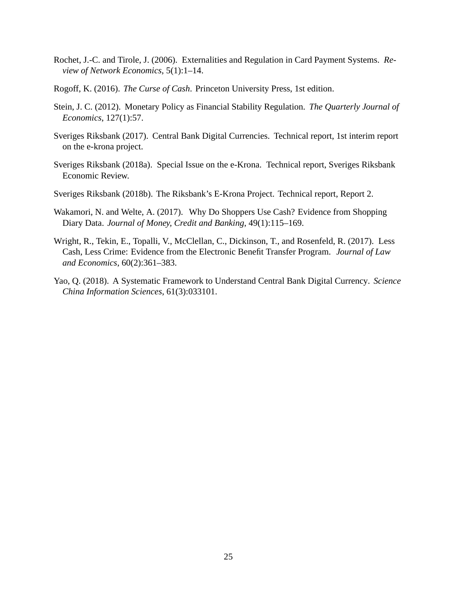- Rochet, J.-C. and Tirole, J. (2006). Externalities and Regulation in Card Payment Systems. *Review of Network Economics*, 5(1):1–14.
- Rogoff, K. (2016). *The Curse of Cash*. Princeton University Press, 1st edition.
- Stein, J. C. (2012). Monetary Policy as Financial Stability Regulation. *The Quarterly Journal of Economics*, 127(1):57.
- Sveriges Riksbank (2017). Central Bank Digital Currencies. Technical report, 1st interim report on the e-krona project.
- Sveriges Riksbank (2018a). Special Issue on the e-Krona. Technical report, Sveriges Riksbank Economic Review.
- Sveriges Riksbank (2018b). The Riksbank's E-Krona Project. Technical report, Report 2.
- Wakamori, N. and Welte, A. (2017). Why Do Shoppers Use Cash? Evidence from Shopping Diary Data. *Journal of Money, Credit and Banking*, 49(1):115–169.
- Wright, R., Tekin, E., Topalli, V., McClellan, C., Dickinson, T., and Rosenfeld, R. (2017). Less Cash, Less Crime: Evidence from the Electronic Benefit Transfer Program. *Journal of Law and Economics*, 60(2):361–383.
- Yao, Q. (2018). A Systematic Framework to Understand Central Bank Digital Currency. *Science China Information Sciences*, 61(3):033101.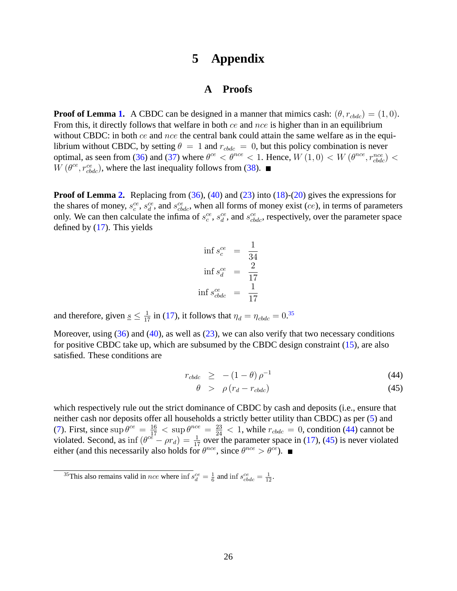# **5 Appendix**

# **A Proofs**

**Proof of Lemma 1.** A CBDC can be designed in a manner that mimics cash:  $(\theta, r_{\text{c}bdc}) = (1, 0)$ . From this, it directly follows that welfare in both ce and nce is higher than in an equilibrium without CBDC: in both  $ce$  and  $nce$  the central bank could attain the same welfare as in the equilibrium without CBDC, by setting  $\theta = 1$  and  $r_{cbdc} = 0$ , but this policy combination is never optimal, as seen from (36) and (37) where  $\theta^{ce} < \theta^{nce} < 1$ . Hence,  $W(1,0) < W(\theta^{nce}, r_{cbdc}^{nce}) <$  $W(\theta^{ce}, r_{cbdc}^{ce})$ , where the last inequality follows from (38).

**Proof of Lemma 2.** Replacing from (36), (40) and (23) into (18)-(20) gives the expressions for the shares of money,  $s_c^{ce}$ ,  $s_d^{ce}$ , and  $s_{cbdc}^{ce}$ , when all forms of money exist (*ce*), in terms of parameters only. We can then calculate the infima of  $s_c^{ce}$ ,  $s_d^{ce}$ , and  $s_{cbdc}^{ce}$ , respectively, over the parameter space defined by (17). This yields

$$
\inf s_c^{ce} = \frac{1}{34}
$$
  

$$
\inf s_c^{ce} = \frac{2}{17}
$$
  

$$
\inf s_{cbdc}^{ce} = \frac{1}{17}
$$

and therefore, given  $\underline{s} \leq \frac{1}{17}$  in (17), it follows that  $\eta_d = \eta_{cbdc} = 0.35$ 

Moreover, using  $(36)$  and  $(40)$ , as well as  $(23)$ , we can also verify that two necessary conditions for positive CBDC take up, which are subsumed by the CBDC design constraint (15), are also satisfied. These conditions are

$$
r_{\text{c}bdc} \geq -(1-\theta)\,\rho^{-1} \tag{44}
$$

$$
\theta \quad > \quad \rho \left( r_d - r_{\text{cbdc}} \right) \tag{45}
$$

which respectively rule out the strict dominance of CBDC by cash and deposits (i.e., ensure that neither cash nor deposits offer all households a strictly better utility than CBDC) as per (5) and (7). First, since  $\sup \theta^{ce} = \frac{16}{17} < \sup \theta^{nce} = \frac{23}{24} < 1$ , while  $r_{cbdc} = 0$ , condition (44) cannot be violated. Second, as inf  $(e^{c\hat{e}} - \rho r_d) = \frac{1}{17}$  over the parameter space in (17), (45) is never violated either (and this necessarily also holds for  $\theta^{nce}$ , since  $\theta^{nce} > \theta^{ce}$ ).

<sup>&</sup>lt;sup>35</sup>This also remains valid in *nce* where  $\inf s_d^{ce} = \frac{1}{6}$  and  $\inf s_{cbdc}^{ce} = \frac{1}{12}$ .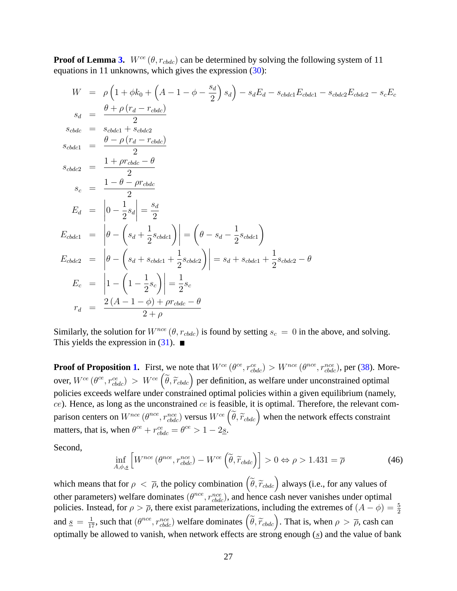**Proof of Lemma 3.**  $W^{ce}(\theta, r_{cbdc})$  can be determined by solving the following system of 11 equations in 11 unknowns, which gives the expression (30):

$$
W = \rho \left( 1 + \phi k_0 + \left( A - 1 - \phi - \frac{s_d}{2} \right) s_d \right) - s_d E_d - s_{cbdc1} E_{cbdc1} - s_{cbdc2} E_{cbdc2} - s_c E_c
$$
  
\n
$$
s_d = \frac{\theta + \rho (r_d - r_{cbdc})}{2}
$$
  
\n
$$
s_{cbdc1} = \frac{\theta - \rho (r_d - r_{cbdc})}{2}
$$
  
\n
$$
s_{cbdc2} = \frac{1 + \rho r_{cbdc} - \theta}{2}
$$
  
\n
$$
s_c = \frac{1 - \theta - \rho r_{cbdc}}{2}
$$
  
\n
$$
E_d = \left| 0 - \frac{1}{2} s_d \right| = \frac{s_d}{2}
$$
  
\n
$$
E_{cbdc1} = \left| \theta - \left( s_d + \frac{1}{2} s_{cbdc1} \right) \right| = \left( \theta - s_d - \frac{1}{2} s_{cbdc1} \right)
$$
  
\n
$$
E_{cbdc2} = \left| \theta - \left( s_d + s_{cbdc1} + \frac{1}{2} s_{cbdc2} \right) \right| = s_d + s_{cbdc1} + \frac{1}{2} s_{cbdc2} - \theta
$$
  
\n
$$
E_c = \left| 1 - \left( 1 - \frac{1}{2} s_c \right) \right| = \frac{1}{2} s_c
$$
  
\n
$$
r_d = \frac{2 (A - 1 - \phi) + \rho r_{cbdc} - \theta}{2 + \rho}
$$

Similarly, the solution for  $W^{nce}(\theta, r_{cbdc})$  is found by setting  $s_c = 0$  in the above, and solving. This yields the expression in  $(31)$ .

**Proof of Proposition 1.** First, we note that  $W^{ce}(\theta^{ce}, r_{cbdc}^{ce}) > W^{nce}(\theta^{nce}, r_{cbdc}^{nce})$ , per (38). Moreover,  $W^{ce}$  ( $\theta^{ce}$ ,  $r_{cbdc}^{ce}$ ) >  $W^{ce}$  ( $\tilde{\theta}$ ,  $\tilde{r}_{cbdc}$ ) per definition, as welfare under unconstrained optimal policies exceeds welfare under constrained optimal policies within a given equilibrium (namely,  $ce$ ). Hence, as long as the unconstrained  $ce$  is feasible, it is optimal. Therefore, the relevant comparison centers on  $W^{nce}$  ( $\theta^{nce}$ ,  $r_{cbdc}^{nce}$ ) versus  $W^{ce}$  ( $\tilde{\theta}$ ,  $\tilde{r}_{cbdc}$ ) when the network effects constraint matters, that is, when  $\theta^{ce} + r_{cbdc}^{ce} = \theta^{ce} > 1 - 2\underline{s}$ .

Second,

$$
\inf_{A,\phi,g} \left[ W^{nce} \left( \theta^{nce}, r_{cbdc}^{nce} \right) - W^{ce} \left( \tilde{\theta}, \tilde{r}_{cbdc} \right) \right] > 0 \Leftrightarrow \rho > 1.431 = \overline{\rho}
$$
\n(46)

which means that for  $\rho < \bar{\rho}$ , the policy combination  $(\tilde{\theta}, \tilde{r}_{cbdc})$  always (i.e., for any values of other parameters) welfare dominates  $(\theta^{nce}, r_{cbdc}^{nce})$ , and hence cash never vanishes under optimal policies. Instead, for  $\rho > \overline{\rho}$ , there exist parameterizations, including the extremes of  $(A - \phi) = \frac{5}{2}$ and  $\underline{s} = \frac{1}{17}$ , such that  $(\theta^{nce}, r_{cbdc}^{nce})$  welfare dominates  $(\tilde{\theta}, \tilde{r}_{cbdc})$ . That is, when  $\rho > \overline{\rho}$ , cash can optimally be allowed to vanish, when network effects are strong enough  $(s)$  and the value of bank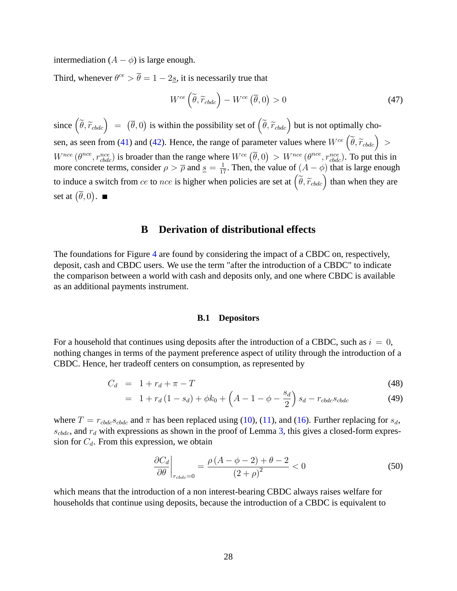intermediation  $(A - \phi)$  is large enough.

Third, whenever  $\theta^{ce} > \overline{\theta} = 1 - 2\underline{s}$ , it is necessarily true that

$$
W^{ce}\left(\tilde{\theta}, \tilde{r}_{cbdc}\right) - W^{ce}\left(\bar{\theta}, 0\right) > 0\tag{47}
$$

since  $(\tilde{\theta}, \tilde{r}_{cbdc}) = (\bar{\theta}, 0)$  is within the possibility set of  $(\tilde{\theta}, \tilde{r}_{cbdc})$  but is not optimally chosen, as seen from (41) and (42). Hence, the range of parameter values where  $W^{ce}(\tilde{\theta}, \tilde{r}_{cbdc}) >$  $W^{nce}$  ( $\theta^{nce}, r_{cbdc}^{nce}$ ) is broader than the range where  $W^{ce}$  ( $\overline{\theta}$ , 0) >  $W^{nce}$  ( $\theta^{nce}, r_{cbdc}^{nce}$ ). To put this in more concrete terms, consider  $\rho > \overline{\rho}$  and  $\underline{s} = \frac{1}{17}$ . Then, the value of  $(A - \phi)$  that is large enough to induce a switch from ce to nce is higher when policies are set at  $(\tilde{\theta}, \tilde{r}_{cbdc})$  than when they are set at  $(\overline{\theta}, 0)$ .

# **B Derivation of distributional effects**

The foundations for Figure 4 are found by considering the impact of a CBDC on, respectively, deposit, cash and CBDC users. We use the term "after the introduction of a CBDC" to indicate the comparison between a world with cash and deposits only, and one where CBDC is available as an additional payments instrument.

#### **B.1 Depositors**

For a household that continues using deposits after the introduction of a CBDC, such as  $i = 0$ , nothing changes in terms of the payment preference aspect of utility through the introduction of a CBDC. Hence, her tradeoff centers on consumption, as represented by

$$
C_d = 1 + r_d + \pi - T \tag{48}
$$

$$
= 1 + r_d (1 - s_d) + \phi k_0 + \left( A - 1 - \phi - \frac{s_d}{2} \right) s_d - r_{cbdc} s_{cbdc}
$$
 (49)

where  $T = r_{\text{c}bdc} s_{\text{c}bdc}$  and  $\pi$  has been replaced using (10), (11), and (16). Further replacing for  $s_d$ ,  $s_{\text{c}bdc}$ , and  $r_d$  with expressions as shown in the proof of Lemma 3, this gives a closed-form expression for  $C_d$ . From this expression, we obtain

$$
\left. \frac{\partial C_d}{\partial \theta} \right|_{r_{cbdc} = 0} = \frac{\rho \left( A - \phi - 2 \right) + \theta - 2}{\left( 2 + \rho \right)^2} < 0 \tag{50}
$$

which means that the introduction of a non interest-bearing CBDC always raises welfare for households that continue using deposits, because the introduction of a CBDC is equivalent to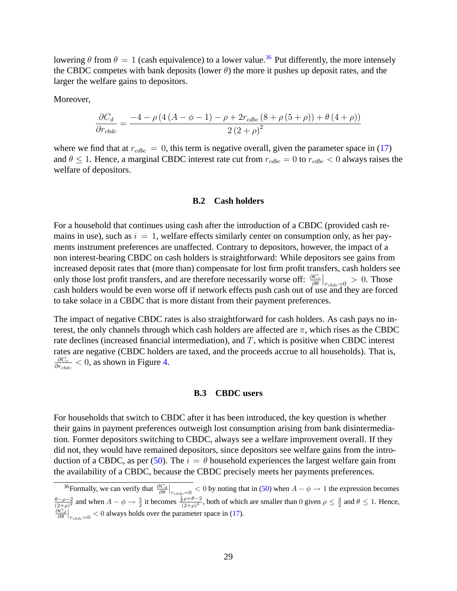lowering  $\theta$  from  $\theta = 1$  (cash equivalence) to a lower value.<sup>36</sup> Put differently, the more intensely the CBDC competes with bank deposits (lower  $\theta$ ) the more it pushes up deposit rates, and the larger the welfare gains to depositors.

Moreover,

$$
\frac{\partial C_d}{\partial r_{cbdc}} = \frac{-4 - \rho \left( 4 \left( A - \phi - 1 \right) - \rho + 2 r_{cdbc} \left( 8 + \rho \left( 5 + \rho \right) \right) + \theta \left( 4 + \rho \right) \right)}{2 \left( 2 + \rho \right)^2}
$$

where we find that at  $r_{cdbc} = 0$ , this term is negative overall, given the parameter space in (17) and  $\theta \leq 1$ . Hence, a marginal CBDC interest rate cut from  $r_{cdbc} = 0$  to  $r_{cdbc} < 0$  always raises the welfare of depositors.

## **B.2 Cash holders**

For a household that continues using cash after the introduction of a CBDC (provided cash remains in use), such as  $i = 1$ , welfare effects similarly center on consumption only, as her payments instrument preferences are unaffected. Contrary to depositors, however, the impact of a non interest-bearing CBDC on cash holders is straightforward: While depositors see gains from increased deposit rates that (more than) compensate for lost firm profit transfers, cash holders see only those lost profit transfers, and are therefore necessarily worse off:  $\frac{\partial C_c}{\partial \theta}\Big|_{r_{cbdc}=0} > 0$ . Those cash holders would be even worse off if network effects push cash out of use and they are forced to take solace in a CBDC that is more distant from their payment preferences.

The impact of negative CBDC rates is also straightforward for cash holders. As cash pays no interest, the only channels through which cash holders are affected are  $\pi$ , which rises as the CBDC rate declines (increased financial intermediation), and  $T$ , which is positive when CBDC interest rates are negative (CBDC holders are taxed, and the proceeds accrue to all households). That is,  $\partial C_c$  $\frac{\partial C_c}{\partial r_{cbdc}} < 0$ , as shown in Figure 4.

#### **B.3 CBDC users**

For households that switch to CBDC after it has been introduced, the key question is whether their gains in payment preferences outweigh lost consumption arising from bank disintermediation. Former depositors switching to CBDC, always see a welfare improvement overall. If they did not, they would have remained depositors, since depositors see welfare gains from the introduction of a CBDC, as per (50). The  $i = \theta$  household experiences the largest welfare gain from the availability of a CBDC, because the CBDC precisely meets her payments preferences.

<sup>&</sup>lt;sup>36</sup> Formally, we can verify that  $\frac{\partial C_d}{\partial \theta}\Big|_{r_{cbdc}=0} < 0$  by noting that in (50) when  $A - \phi \to 1$  the expression becomes  $\frac{\theta-\rho-2}{(2+\rho)^2}$  and when  $A-\phi \to \frac{5}{2}$  it becomes  $\frac{\frac{1}{2}\rho+\theta-2}{(2+\rho)^2}$ , both of which are smaller than 0 given  $\rho \leq \frac{3}{2}$  and  $\theta \leq 1$ . Hence,  $\frac{\partial C_d}{\partial \theta}\Big|_{r_{cbdc}=0} < 0$  always holds over the parameter space in (17).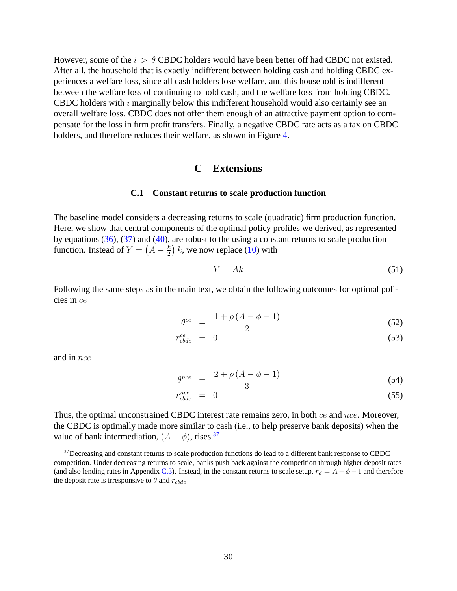However, some of the  $i > \theta$  CBDC holders would have been better off had CBDC not existed. After all, the household that is exactly indifferent between holding cash and holding CBDC experiences a welfare loss, since all cash holders lose welfare, and this household is indifferent between the welfare loss of continuing to hold cash, and the welfare loss from holding CBDC. CBDC holders with  $i$  marginally below this indifferent household would also certainly see an overall welfare loss. CBDC does not offer them enough of an attractive payment option to compensate for the loss in firm profit transfers. Finally, a negative CBDC rate acts as a tax on CBDC holders, and therefore reduces their welfare, as shown in Figure 4.

# **C Extensions**

#### **C.1 Constant returns to scale production function**

The baseline model considers a decreasing returns to scale (quadratic) firm production function. Here, we show that central components of the optimal policy profiles we derived, as represented by equations (36), (37) and (40), are robust to the using a constant returns to scale production function. Instead of  $Y = \left(A - \frac{k}{2}\right)$  $(\frac{k}{2})$  k, we now replace (10) with

$$
Y = Ak \tag{51}
$$

Following the same steps as in the main text, we obtain the following outcomes for optimal policies in ce

$$
\theta^{ce} = \frac{1 + \rho (A - \phi - 1)}{2} \tag{52}
$$

$$
r_{cbdc}^{ce} = 0 \tag{53}
$$

and in nce

$$
\theta^{nce} = \frac{2 + \rho \left( A - \phi - 1 \right)}{3} \tag{54}
$$

$$
r_{\text{cbdc}}^{\text{nce}} = 0 \tag{55}
$$

Thus, the optimal unconstrained CBDC interest rate remains zero, in both ce and nce. Moreover, the CBDC is optimally made more similar to cash (i.e., to help preserve bank deposits) when the value of bank intermediation,  $(A - \phi)$ , rises.<sup>37</sup>

 $37$ Decreasing and constant returns to scale production functions do lead to a different bank response to CBDC competition. Under decreasing returns to scale, banks push back against the competition through higher deposit rates (and also lending rates in Appendix C.3). Instead, in the constant returns to scale setup,  $r_d = A - \phi - 1$  and therefore the deposit rate is irresponsive to  $\theta$  and  $r_{cbdc}$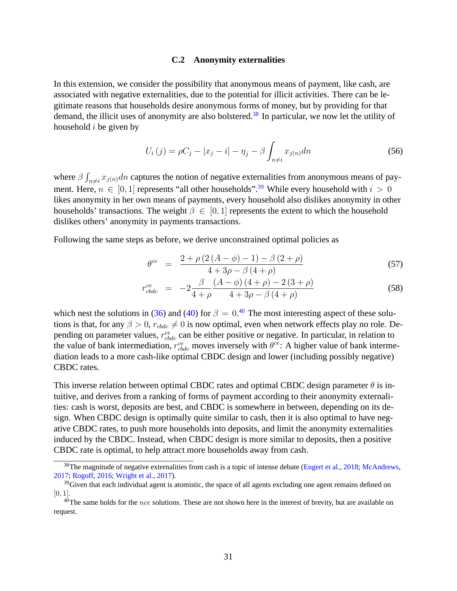#### **C.2 Anonymity externalities**

In this extension, we consider the possibility that anonymous means of payment, like cash, are associated with negative externalities, due to the potential for illicit activities. There can be legitimate reasons that households desire anonymous forms of money, but by providing for that demand, the illicit uses of anonymity are also bolstered.<sup>38</sup> In particular, we now let the utility of household  $i$  be given by

$$
U_i(j) = \rho C_j - |x_j - i| - \eta_j - \beta \int_{n \neq i} x_{j(n)} dn \tag{56}
$$

where  $\beta$   $\int$  $x_{i\neq i}$   $x_{j(n)}$ dn captures the notion of negative externalities from anonymous means of payment. Here,  $n \in [0, 1]$  represents "all other households".<sup>39</sup> While every household with  $i > 0$ likes anonymity in her own means of payments, every household also dislikes anonymity in other households' transactions. The weight  $\beta \in [0, 1]$  represents the extent to which the household dislikes others' anonymity in payments transactions.

Following the same steps as before, we derive unconstrained optimal policies as

$$
\theta^{ce} = \frac{2 + \rho (2 (A - \phi) - 1) - \beta (2 + \rho)}{4 + 3\rho - \beta (4 + \rho)}
$$
(57)

$$
r_{cbdc}^{ce} = -2\frac{\beta}{4+\rho} \frac{(A-\phi)(4+\rho) - 2(3+\rho)}{4+3\rho - \beta(4+\rho)}
$$
(58)

which nest the solutions in (36) and (40) for  $\beta = 0.40$  The most interesting aspect of these solutions is that, for any  $\beta > 0$ ,  $r_{cbdc} \neq 0$  is now optimal, even when network effects play no role. Depending on parameter values,  $r_{cbdc}^{ce}$  can be either positive or negative. In particular, in relation to the value of bank intermediation,  $r_{cbdc}^{ce}$  moves inversely with  $\theta^{ce}$ : A higher value of bank intermediation leads to a more cash-like optimal CBDC design and lower (including possibly negative) CBDC rates.

This inverse relation between optimal CBDC rates and optimal CBDC design parameter  $\theta$  is intuitive, and derives from a ranking of forms of payment according to their anonymity externalities: cash is worst, deposits are best, and CBDC is somewhere in between, depending on its design. When CBDC design is optimally quite similar to cash, then it is also optimal to have negative CBDC rates, to push more households into deposits, and limit the anonymity externalities induced by the CBDC. Instead, when CBDC design is more similar to deposits, then a positive CBDC rate is optimal, to help attract more households away from cash.

 $38$ The magnitude of negative externalities from cash is a topic of intense debate (Engert et al., 2018; McAndrews, 2017; Rogoff, 2016; Wright et al., 2017).

 $39$ Given that each individual agent is atomistic, the space of all agents excluding one agent remains defined on  $[0, 1]$ .

 $40$ The same holds for the *nce* solutions. These are not shown here in the interest of brevity, but are available on request.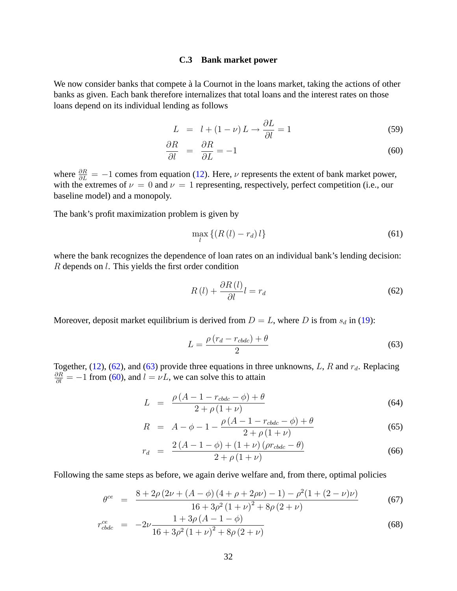#### **C.3 Bank market power**

We now consider banks that compete à la Cournot in the loans market, taking the actions of other banks as given. Each bank therefore internalizes that total loans and the interest rates on those loans depend on its individual lending as follows

$$
L = l + (1 - \nu) L \rightarrow \frac{\partial L}{\partial l} = 1 \tag{59}
$$

$$
\frac{\partial R}{\partial l} = \frac{\partial R}{\partial L} = -1 \tag{60}
$$

where  $\frac{\partial R}{\partial L} = -1$  comes from equation (12). Here,  $\nu$  represents the extent of bank market power, with the extremes of  $\nu = 0$  and  $\nu = 1$  representing, respectively, perfect competition (i.e., our baseline model) and a monopoly.

The bank's profit maximization problem is given by

$$
\max_{l} \left\{ \left( R\left( l\right) - r_{d} \right) l \right\} \tag{61}
$$

where the bank recognizes the dependence of loan rates on an individual bank's lending decision: R depends on l. This yields the first order condition

$$
R(l) + \frac{\partial R(l)}{\partial l}l = r_d \tag{62}
$$

Moreover, deposit market equilibrium is derived from  $D = L$ , where D is from  $s_d$  in (19):

$$
L = \frac{\rho (r_d - r_{\text{c}bdc}) + \theta}{2} \tag{63}
$$

Together, (12), (62), and (63) provide three equations in three unknowns, L, R and  $r_d$ . Replacing  $\frac{\partial R}{\partial l} = -1$  from (60), and  $l = \nu L$ , we can solve this to attain

$$
L = \frac{\rho (A - 1 - r_{cbdc} - \phi) + \theta}{2 + \rho (1 + \nu)}
$$
(64)

$$
R = A - \phi - 1 - \frac{\rho (A - 1 - r_{cbdc} - \phi) + \theta}{2 + \rho (1 + \nu)}
$$
(65)

$$
r_d = \frac{2\left(A - 1 - \phi\right) + \left(1 + \nu\right)\left(\rho r_{cbdc} - \theta\right)}{2 + \rho\left(1 + \nu\right)}\tag{66}
$$

Following the same steps as before, we again derive welfare and, from there, optimal policies

$$
\theta^{ce} = \frac{8 + 2\rho (2\nu + (A - \phi) (4 + \rho + 2\rho\nu) - 1) - \rho^2 (1 + (2 - \nu)\nu)}{16 + 3\rho^2 (1 + \nu)^2 + 8\rho (2 + \nu)}
$$
(67)

$$
r_{cbdc}^{ce} = -2\nu \frac{1 + 3\rho (A - 1 - \phi)}{16 + 3\rho^2 (1 + \nu)^2 + 8\rho (2 + \nu)}
$$
(68)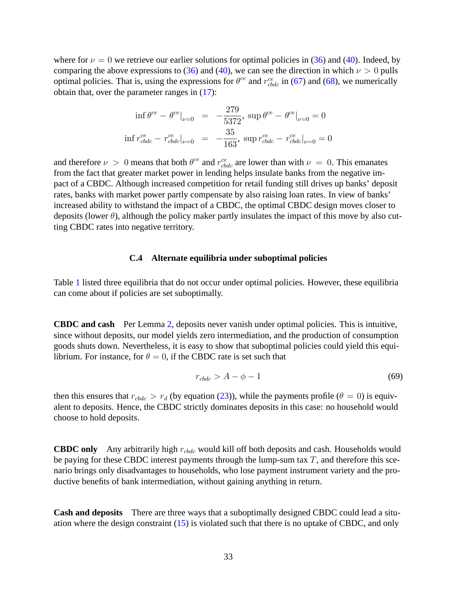where for  $\nu = 0$  we retrieve our earlier solutions for optimal policies in (36) and (40). Indeed, by comparing the above expressions to (36) and (40), we can see the direction in which  $\nu > 0$  pulls optimal policies. That is, using the expressions for  $\theta^{ce}$  and  $r_{cbdc}^{ce}$  in (67) and (68), we numerically obtain that, over the parameter ranges in (17):

$$
\inf \theta^{ce} - \theta^{ce}|_{\nu=0} = -\frac{279}{5372}, \sup \theta^{ce} - \theta^{ce}|_{\nu=0} = 0
$$
  

$$
\inf r_{cbdc}^{ce} - r_{cbdc}^{ce}|_{\nu=0} = -\frac{35}{163}, \sup r_{cbdc}^{ce} - r_{cbdc}^{ce}|_{\nu=0} = 0
$$

and therefore  $\nu > 0$  means that both  $\theta^{ce}$  and  $r_{cbdc}^{ce}$  are lower than with  $\nu = 0$ . This emanates from the fact that greater market power in lending helps insulate banks from the negative impact of a CBDC. Although increased competition for retail funding still drives up banks' deposit rates, banks with market power partly compensate by also raising loan rates. In view of banks' increased ability to withstand the impact of a CBDC, the optimal CBDC design moves closer to deposits (lower  $\theta$ ), although the policy maker partly insulates the impact of this move by also cutting CBDC rates into negative territory.

#### **C.4 Alternate equilibria under suboptimal policies**

Table 1 listed three equilibria that do not occur under optimal policies. However, these equilibria can come about if policies are set suboptimally.

**CBDC and cash** Per Lemma 2, deposits never vanish under optimal policies. This is intuitive, since without deposits, our model yields zero intermediation, and the production of consumption goods shuts down. Nevertheless, it is easy to show that suboptimal policies could yield this equilibrium. For instance, for  $\theta = 0$ , if the CBDC rate is set such that

$$
r_{\text{c}bdc} > A - \phi - 1 \tag{69}
$$

then this ensures that  $r_{\text{c}bdc} > r_d$  (by equation (23)), while the payments profile ( $\theta = 0$ ) is equivalent to deposits. Hence, the CBDC strictly dominates deposits in this case: no household would choose to hold deposits.

**CBDC only** Any arbitrarily high  $r_{cbdc}$  would kill off both deposits and cash. Households would be paying for these CBDC interest payments through the lump-sum tax  $T$ , and therefore this scenario brings only disadvantages to households, who lose payment instrument variety and the productive benefits of bank intermediation, without gaining anything in return.

**Cash and deposits** There are three ways that a suboptimally designed CBDC could lead a situation where the design constraint (15) is violated such that there is no uptake of CBDC, and only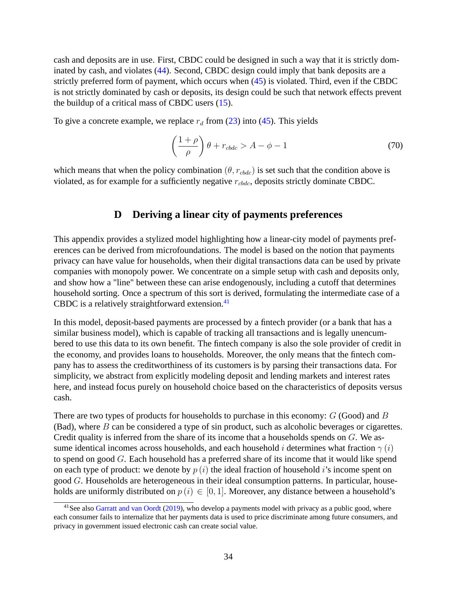cash and deposits are in use. First, CBDC could be designed in such a way that it is strictly dominated by cash, and violates (44). Second, CBDC design could imply that bank deposits are a strictly preferred form of payment, which occurs when (45) is violated. Third, even if the CBDC is not strictly dominated by cash or deposits, its design could be such that network effects prevent the buildup of a critical mass of CBDC users (15).

To give a concrete example, we replace  $r_d$  from (23) into (45). This yields

$$
\left(\frac{1+\rho}{\rho}\right)\theta + r_{cbdc} > A - \phi - 1\tag{70}
$$

which means that when the policy combination ( $\theta$ ,  $r_{cbdc}$ ) is set such that the condition above is violated, as for example for a sufficiently negative  $r_{\text{color}}$ , deposits strictly dominate CBDC.

# **D Deriving a linear city of payments preferences**

This appendix provides a stylized model highlighting how a linear-city model of payments preferences can be derived from microfoundations. The model is based on the notion that payments privacy can have value for households, when their digital transactions data can be used by private companies with monopoly power. We concentrate on a simple setup with cash and deposits only, and show how a "line" between these can arise endogenously, including a cutoff that determines household sorting. Once a spectrum of this sort is derived, formulating the intermediate case of a CBDC is a relatively straightforward extension. $41$ 

In this model, deposit-based payments are processed by a fintech provider (or a bank that has a similar business model), which is capable of tracking all transactions and is legally unencumbered to use this data to its own benefit. The fintech company is also the sole provider of credit in the economy, and provides loans to households. Moreover, the only means that the fintech company has to assess the creditworthiness of its customers is by parsing their transactions data. For simplicity, we abstract from explicitly modeling deposit and lending markets and interest rates here, and instead focus purely on household choice based on the characteristics of deposits versus cash.

There are two types of products for households to purchase in this economy:  $G$  (Good) and  $B$ (Bad), where  $B$  can be considered a type of sin product, such as alcoholic beverages or cigarettes. Credit quality is inferred from the share of its income that a households spends on G. We assume identical incomes across households, and each household *i* determines what fraction  $\gamma(i)$ to spend on good G. Each household has a preferred share of its income that it would like spend on each type of product: we denote by  $p(i)$  the ideal fraction of household i's income spent on good G. Households are heterogeneous in their ideal consumption patterns. In particular, households are uniformly distributed on  $p(i) \in [0, 1]$ . Moreover, any distance between a household's

<sup>&</sup>lt;sup>41</sup>See also Garratt and van Oordt (2019), who develop a payments model with privacy as a public good, where each consumer fails to internalize that her payments data is used to price discriminate among future consumers, and privacy in government issued electronic cash can create social value.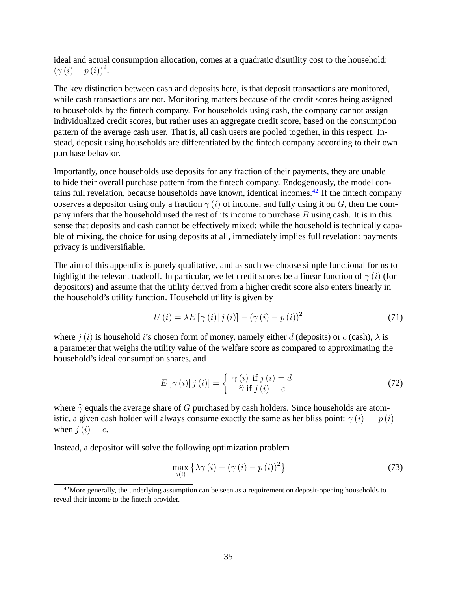ideal and actual consumption allocation, comes at a quadratic disutility cost to the household:  $(\gamma(i) - p(i))^2$ .

The key distinction between cash and deposits here, is that deposit transactions are monitored, while cash transactions are not. Monitoring matters because of the credit scores being assigned to households by the fintech company. For households using cash, the company cannot assign individualized credit scores, but rather uses an aggregate credit score, based on the consumption pattern of the average cash user. That is, all cash users are pooled together, in this respect. Instead, deposit using households are differentiated by the fintech company according to their own purchase behavior.

Importantly, once households use deposits for any fraction of their payments, they are unable to hide their overall purchase pattern from the fintech company. Endogenously, the model contains full revelation, because households have known, identical incomes.<sup>42</sup> If the fintech company observes a depositor using only a fraction  $\gamma(i)$  of income, and fully using it on G, then the company infers that the household used the rest of its income to purchase  $B$  using cash. It is in this sense that deposits and cash cannot be effectively mixed: while the household is technically capable of mixing, the choice for using deposits at all, immediately implies full revelation: payments privacy is undiversifiable.

The aim of this appendix is purely qualitative, and as such we choose simple functional forms to highlight the relevant tradeoff. In particular, we let credit scores be a linear function of  $\gamma(i)$  (for depositors) and assume that the utility derived from a higher credit score also enters linearly in the household's utility function. Household utility is given by

$$
U(i) = \lambda E \left[ \gamma(i) | j(i) \right] - \left( \gamma(i) - p(i) \right)^2 \tag{71}
$$

where  $i(i)$  is household i's chosen form of money, namely either d (deposits) or c (cash),  $\lambda$  is a parameter that weighs the utility value of the welfare score as compared to approximating the household's ideal consumption shares, and

$$
E\left[\gamma\left(i\right)|j\left(i\right)\right] = \begin{cases} \gamma\left(i\right) \text{ if } j\left(i\right) = d \\ \hat{\gamma} \text{ if } j\left(i\right) = c \end{cases} \tag{72}
$$

where  $\hat{\gamma}$  equals the average share of G purchased by cash holders. Since households are atomistic, a given cash holder will always consume exactly the same as her bliss point:  $\gamma(i) = p(i)$ when  $i(i) = c$ .

Instead, a depositor will solve the following optimization problem

$$
\max_{\gamma(i)} \left\{ \lambda \gamma(i) - (\gamma(i) - p(i))^2 \right\} \tag{73}
$$

 $42$ More generally, the underlying assumption can be seen as a requirement on deposit-opening households to reveal their income to the fintech provider.